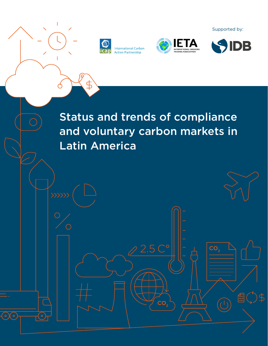

\$

</u>

 $\circ$   $\chi$   $\circ$ 





Supported by:

Status and trends of compliance and voluntary carbon markets in Latin America

 $CO<sub>2</sub>$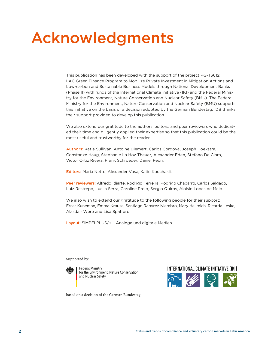## Acknowledgments

This publication has been developed with the support of the project RG-T3612: LAC Green Finance Program to Mobilize Private Investment in Mitigation Actions and Low-carbon and Sustainable Business Models through National Development Banks (Phase II) with funds of the International Climate Initiative (IKI) and the Federal Ministry for the Environment, Nature Conservation and Nuclear Safety (BMU). The Federal Ministry for the Environment, Nature Conservation and Nuclear Safety (BMU) supports this initiative on the basis of a decision adopted by the German Bundestag. IDB thanks their support provided to develop this publication.

We also extend our gratitude to the authors, editors, and peer reviewers who dedicated their time and diligently applied their expertise so that this publication could be the most useful and trustworthy for the reader.

Authors: Katie Sullivan, Antoine Diemert, Carlos Cordova, Joseph Hoekstra, Constanze Haug, Stephanie La Hoz Theuer, Alexander Eden, Stefano De Clara, Victor Ortiz Rivera, Frank Schroeder, Daniel Peon.

Editors: Maria Netto, Alexander Vasa, Katie Kouchakji.

Peer reviewers: Alfredo Idiarte, Rodrigo Ferreira, Rodrigo Chaparro, Carlos Salgado, Luiz Restrepo, Lucila Serra, Caroline Prolo, Sergio Quiros, Aloisio Lopes de Melo.

We also wish to extend our gratitude to the following people for their support: Ernst Kuneman, Emma Krause, Santiago Ramírez Niembro, Mary Hellmich, Ricarda Leske, Alasdair Were and Lisa Spafford

Layout: [SiMPELPLUS/+](https://simpelplus.de) – Analoge und digitale Medien

Supported by:



Federal Ministry for the Environment, Nature Conservation and Nuclear Safety



based on a decision of the German Bundestag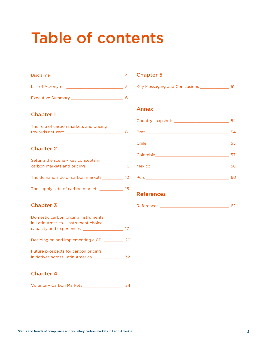# Table of contents

| <b>Disclaimer</b>        |  |
|--------------------------|--|
| List of Acronyms         |  |
| <b>Executive Summary</b> |  |

#### [Chapter 1](#page-7-0)

| The role of carbon markets and pricing |  |
|----------------------------------------|--|
| towards net zero                       |  |

#### [Chapter 2](#page-9-0)

| Setting the scene - key concepts in |     |
|-------------------------------------|-----|
| carbon markets and pricing          | 10  |
|                                     |     |
| The demand side of carbon markets   | 12. |
|                                     |     |
| The supply side of carbon markets   | 15. |

### [Chapter 3](#page-16-0)

| Domestic carbon pricing instruments                                     |    |
|-------------------------------------------------------------------------|----|
| in Latin America - instrument choice,                                   |    |
| capacity and experiences                                                | 17 |
| Deciding on and implementing a CPI                                      | 20 |
| Future prospects for carbon pricing<br>initiatives across Latin America |    |

#### [Chapter 4](#page-33-0)

| Voluntary Carbon Markets |  |  |
|--------------------------|--|--|
|--------------------------|--|--|

#### [Chapter 5](#page-50-0)

|  | <b>Key Messaging and Conclusions</b> |  |
|--|--------------------------------------|--|
|  |                                      |  |

#### [Annex](#page-53-0)

| 54 |
|----|
| 54 |
| 55 |
| 57 |
| 58 |
| 60 |

#### **[References](#page-61-0)**

| n -<br>---<br>Reier |  |
|---------------------|--|
|                     |  |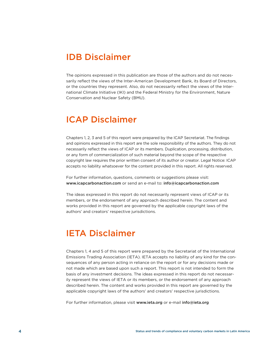## IDB Disclaimer

The opinions expressed in this publication are those of the authors and do not necessarily reflect the views of the Inter-American Development Bank, its Board of Directors, or the countries they represent. Also, do not necessarily reflect the views of the International Climate Initiative (IKI) and the Federal Ministry for the Environment, Nature Conservation and Nuclear Safety (BMU).

### ICAP Disclaimer

Chapters 1, 2, 3 and 5 of this report were prepared by the ICAP Secretariat. The findings and opinions expressed in this report are the sole responsibility of the authors. They do not necessarily reflect the views of ICAP or its members. Duplication, processing, distribution, or any form of commercialization of such material beyond the scope of the respective copyright law requires the prior written consent of its author or creator. Legal Notice: ICAP accepts no liability whatsoever for the content provided in this report. All rights reserved.

For further information, questions, comments or suggestions please visit: <www.icapcarbonaction.com> or send an e-mail to: [info@icapcarbonaction.com](mailto:info%40icapcarbonaction.com?subject=)

The ideas expressed in this report do not necessarily represent views of ICAP or its members, or the endorsement of any approach described herein. The content and works provided in this report are governed by the applicable copyright laws of the authors' and creators' respective jurisdictions.

## IETA Disclaimer

Chapters 1, 4 and 5 of this report were prepared by the Secretariat of the International Emissions Trading Association (IETA). IETA accepts no liability of any kind for the consequences of any person acting in reliance on the report or for any decisions made or not made which are based upon such a report. This report is not intended to form the basis of any investment decisions. The ideas expressed in this report do not necessarily represent the views of IETA or its members, or the endorsement of any approach described herein. The content and works provided in this report are governed by the applicable copyright laws of the authors' and creators' respective jurisdictions.

For further information, please visit <www.ieta.org> or e-mail [info@ieta.org](mailto:info%40ieta.org?subject=)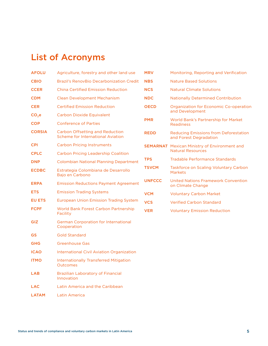## <span id="page-4-0"></span>List of Acronyms

| Agriculture, forestry and other land use                                    | <b>MRV</b>    | Monitoring, Reporting and Verification                                 |  |
|-----------------------------------------------------------------------------|---------------|------------------------------------------------------------------------|--|
| <b>Brazil's RenovBio Decarbonization Credit</b>                             | <b>NBS</b>    | <b>Nature Based Solutions</b>                                          |  |
| <b>China Certified Emission Reduction</b>                                   | <b>NCS</b>    | <b>Natural Climate Solutions</b>                                       |  |
| <b>Clean Development Mechanism</b>                                          | <b>NDC</b>    | <b>Nationally Determined Contribution</b>                              |  |
| <b>Certified Emission Reduction</b>                                         | <b>OECD</b>   | <b>Organization for Economic Co-operation</b><br>and Development       |  |
| <b>Carbon Dioxide Equivalent</b>                                            |               |                                                                        |  |
| <b>Conference of Parties</b>                                                |               | World Bank's Partnership for Market<br><b>Readiness</b>                |  |
| <b>Carbon Offsetting and Reduction</b><br>Scheme for International Aviation | <b>REDD</b>   | <b>Reducing Emissions from Deforestation</b><br>and Forest Degradation |  |
| <b>Carbon Pricing Instruments</b>                                           |               | <b>SEMARNAT</b> Mexican Ministry of Environment and                    |  |
| <b>Carbon Pricing Leadership Coalition</b>                                  |               | <b>Natural Resources</b>                                               |  |
| <b>Colombian National Planning Department</b>                               |               | Tradable Performance Standards                                         |  |
| Estrategia Colombiana de Desarrollo<br>Bajo en Carbono                      | <b>TSVCM</b>  | Taskforce on Scaling Voluntary Carbon<br><b>Markets</b>                |  |
| <b>Emission Reductions Payment Agreement</b>                                | <b>UNFCCC</b> | <b>United Nations Framework Convention</b><br>on Climate Change        |  |
| <b>Emission Trading Systems</b>                                             | <b>VCM</b>    | <b>Voluntary Carbon Market</b>                                         |  |
| <b>European Union Emission Trading System</b>                               | <b>VCS</b>    | <b>Verified Carbon Standard</b>                                        |  |
| <b>World Bank Forest Carbon Partnership</b><br>Facility                     | <b>VER</b>    | <b>Voluntary Emission Reduction</b>                                    |  |
| <b>German Corporation for International</b><br>Cooperation                  |               |                                                                        |  |
| <b>Gold Standard</b>                                                        |               |                                                                        |  |
| Greenhouse Gas                                                              |               |                                                                        |  |
| <b>International Civil Aviation Organization</b>                            |               |                                                                        |  |
| <b>Internationally Transferred Mitigation</b><br>Outcomes                   |               |                                                                        |  |
|                                                                             |               | <b>PMR</b><br><b>TPS</b>                                               |  |

- LAB Brazilian Laboratory of Financial Innovation
- LAC Latin America and the Caribbean
- LATAM Latin America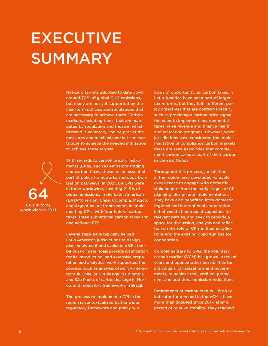<span id="page-5-0"></span>EXECUTIVE SUMMARY

> Net-zero targets adopted to date cover around 70 % of global GHG emissions, but many are not yet supported by the near-term policies and regulations that are necessary to achieve them. Carbon markets, including those that are mandated by regulation and those in which demand is voluntary, can be part of the measures and mechanisms that can contribute to achieve the needed mitigation to achieve these targets.

With regards to carbon pricing instruments (CPIs), such as emissions trading and carbon taxes, these are an essential part of policy frameworks and decarbonization pathways. In 2021, 64 CPIs were in force worldwide, covering 21.5 % of global emissions. In the Latin American (LATAM) region, Chile, Colombia, Mexico, and Argentina are frontrunners in implementing CPIs, with four federal carbon taxes, three subnational carbon taxes and one national ETS.

Several steps have typically helped Latin American jurisdictions to design, plan, implement and evaluate a CPI: (ambitious) climate goals provide justification for its introduction, and extensive preparation and analytical work supported the process, such as analysis of policy interactions in Chile, of CPI design in Colombia and São Paulo, of carbon leakage in Mexico, and regulatory frameworks in Brazil.

The process to implement a CPI in the region is contextualized by the wider regulatory framework and policy windows of opportunity: all carbon taxes in Latin America have been part of larger tax reforms, but they fulfill different policy objectives that are context-specific, such as providing a carbon price signal, the need to implement environmental taxes, raise revenue and finance health and education programs. However, when jurisdictions have considered the implementation of compliance carbon markets, these are seen as policies that complement carbon taxes as part of their carbon pricing portfolios.

Throughout this process, jurisdictions in the region have developed valuable experiences to engage with domestic stakeholders from the early stages of CPI planning, design and implementation. They have also benefited from domestic, regional and international cooperation initiatives that help build capacities for relevant parties, and seek to provide a space for discussion, analysis and reflection on the role of CPIs in their jurisdictions and the existing opportunities for cooperation.

Complementary to CPIs, the voluntary carbon market (VCM) has grown in recent years and opened other possibilities for individuals, organizations and governments, to achieve real, verified, permanent and additional emission reductions.

Retirements of carbon credits – the key indicator for demand in the VCM – have more than doubled since 2017, after a period of relative stability. They reached

CPIs in force

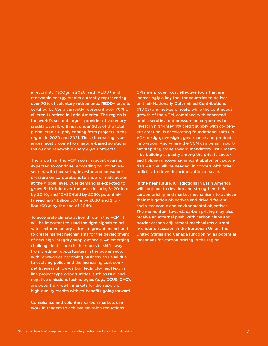a record 95 MtCO<sub>2</sub>e in 2020, with REDD+ and renewable energy credits currently representing over 70 % of voluntary retirements. REDD+ credits certified by Verra currently represent over 70 % of all credits retired in Latin America. The region is the world's second largest provider of voluntary credits overall, with just under 20 % of the total global credit supply coming from projects in the region in 2020 and 2021. These increasing issuances mostly come from nature-based solutions (NBS) and renewable energy (RE) projects.

The growth in the VCM seen in recent years is expected to continue. According to Troven Research, with increasing investor and consumer pressure on corporations to show climate action at the global level, VCM demand is expected to grow: 5 – 10-fold over the next decade; 8 – 20-fold by 2040; and 10 – 30-fold by 2050, potentially reaching 1 billion tCO<sub>2</sub>e by 2030 and 2 billion tCO<sub>2</sub>e by the end of 2040.

To accelerate climate action through the VCM, it will be important to send the right signals to private sector voluntary actors to grow demand, and to create market mechanisms for the development of new high-integrity supply at scale. An emerging challenge in this area is the requisite shift away from crediting opportunities in the power sector, with renewables becoming business-as-usual due to evolving policy and the increasing cost competitiveness of low-carbon technologies. Next in line project type opportunities, such as NBS and negative emissions technologies (e. g., CCUS, DAC), are potential growth markets for the supply of high-quality credits with co-benefits going forward.

Compliance and voluntary carbon markets can work in tandem to achieve emission reductions.

CPIs are proven, cost effective tools that are increasingly a key tool for countries to deliver on their Nationally Determined Contributions (NDCs) and net-zero goals, while the continuous growth of the VCM, combined with enhanced public scrutiny and pressure on corporates to invest in high-integrity credit supply with co-benefit creation, is accelerating foundational shifts in VCM design, oversight, governance and product innovation. And where the VCM can be an important stepping stone toward mandatory instruments – by building capacity among the private sector and helping uncover significant abatement potentials – a CPI will be needed, in concert with other policies, to drive decarbonization at scale.

In the near future, jurisdictions in Latin America will continue to develop and strengthen their carbon pricing and market mechanisms to achieve their mitigation objectives and drive different socio-economic and environmental objectives. The momentum towards carbon pricing may also receive an external push, with carbon clubs and border carbon adjustment mechanisms currently under discussion in the European Union, the United States and Canada functioning as potential incentives for carbon pricing in the region.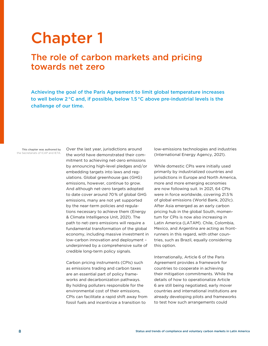## <span id="page-7-0"></span>Chapter 1

## The role of carbon markets and pricing towards net zero

Achieving the goal of the Paris Agreement to limit global temperature increases to well below 2 °C and, if possible, below 1.5 °C above pre-industrial levels is the challenge of our time.

This chapter was authored by the Secretariats of ICAP and IETA.

Over the last year, jurisdictions around the world have demonstrated their commitment to achieving net-zero emissions by announcing high-level pledges and/or embedding targets into laws and regulations. Global greenhouse gas (GHG) emissions, however, continue to grow. And although net-zero targets adopted to date cover around 70% of global GHG emissions, many are not yet supported by the near-term policies and regulations necessary to achieve them (Energy & Climate Intelligence Unit, 2021). The path to net-zero emissions will require a fundamental transformation of the global economy, including massive investment in low-carbon innovation and deployment – underpinned by a comprehensive suite of credible long-term policy signals.

Carbon pricing instruments (CPIs) such as emissions trading and carbon taxes are an essential part of policy frameworks and decarbonization pathways. By holding polluters responsible for the environmental cost of their emissions, CPIs can facilitate a rapid shift away from fossil fuels and incentivize a transition to

low-emissions technologies and industries (International Energy Agency, 2021).

While domestic CPIs were initially used primarily by industrialized countries and jurisdictions in Europe and North America, more and more emerging economies are now following suit. In 2021, 64 CPIs were in force worldwide, covering 21.5% of global emissions (World Bank, 2021c). After Asia emerged as an early carbon pricing hub in the global South, momentum for CPIs is now also increasing in Latin America (LATAM). Chile, Colombia, Mexico, and Argentina are acting as frontrunners in this regard, with other countries, such as Brazil, equally considering this option.

Internationally, Article 6 of the Paris Agreement provides a framework for countries to cooperate in achieving their mitigation commitments. While the details of how to operationalize Article 6 are still being negotiated, early mover countries and international institutions are already developing pilots and frameworks to test how such arrangements could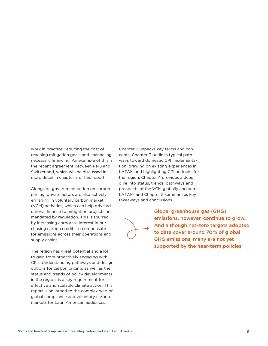work in practice, reducing the cost of reaching mitigation goals and channeling necessary financing. An example of this is the recent agreement between Peru and Switzerland, which will be discussed in more detail in chapter 3 of this report.

Alongside government action on carbon pricing, private actors are also actively engaging in voluntary carbon market (VCM) activities, which can help drive additional finance to mitigation projects not mandated by regulation. This is spurred by increasing corporate interest in purchasing carbon credits to compensate for emissions across their operations and supply chains.

The region has great potential and a lot to gain from proactively engaging with CPIs. Understanding pathways and design options for carbon pricing, as well as the status and trends of policy developments in the region, is a key requirement for effective and scalable climate action. This report is an inroad to the complex web of global compliance and voluntary carbon markets for Latin American audiences:

Chapter 2 unpacks key terms and concepts; Chapter 3 outlines typical pathways toward domestic CPI implementation, drawing on existing experiences in LATAM and highlighting CPI outlooks for the region; Chapter 4 provides a deep dive into status, trends, pathways and prospects of the VCM globally and across LATAM; and Chapter 5 summarizes key takeaways and conclusions.



Global greenhouse gas (GHG) emissions, however, continue to grow. And although net-zero targets adopted to date cover around 70 % of global GHG emissions, many are not yet supported by the near-term policies.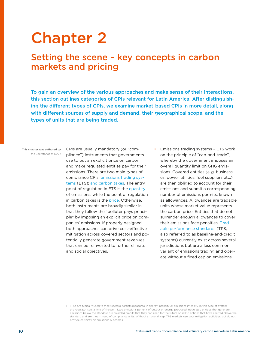## <span id="page-9-0"></span>Chapter 2

## Setting the scene – key concepts in carbon markets and pricing

To gain an overview of the various approaches and make sense of their interactions, this section outlines categories of CPIs relevant for Latin America. After distinguishing the different types of CPIs, we examine market-based CPIs in more detail, along with different sources of supply and demand, their geographical scope, and the types of units that are being traded.

#### This chapter was authored by the Secretariat of ICAP.

CPIs are usually mandatory (or "compliance") instruments that governments use to put an explicit price on carbon and make regulated entities pay for their emissions. There are two main types of compliance CPIs: emissions trading systems (ETS); and carbon taxes. The entry point of regulation in ETS is the quantity of emissions, while the point of regulation in carbon taxes is the price. Otherwise, both instruments are broadly similar in that they follow the "polluter pays principle" by imposing an explicit price on companies' emissions. If properly designed, both approaches can drive cost-effective mitigation across covered sectors and potentially generate government revenues that can be reinvested to further climate and social objectives.

• Emissions trading systems – ETS work on the principle of "cap-and-trade", whereby the government imposes an overall quantity limit on GHG emissions. Covered entities (e.g. businesses, power utilities, fuel suppliers etc.) are then obliged to account for their emissions and submit a corresponding number of emissions permits, known as allowances. Allowances are tradable units whose market value represents the carbon price. Entities that do not surrender enough allowances to cover their emissions face penalties. Tradable performance standards (TPS, also referred to as baseline-and-credit systems) currently exist across several jurisdictions but are a less common variant of emissions trading and operate without a fixed cap on emissions.<sup>1</sup>

<sup>1</sup> TPSs are typically used to meet sectoral targets measured in energy intensity or emissions intensity. In this type of system, the regulator sets a limit of the permitted emissions per unit of output or energy produced. Regulated entities that generate emissions below the standard are awarded credits that they can keep for the future or sell to entities that have emitted above the standard and are thus in need of compliance units. Without an overall cap, TPS markets can spur mitigation activities, but do not provide certainty on emissions outcomes.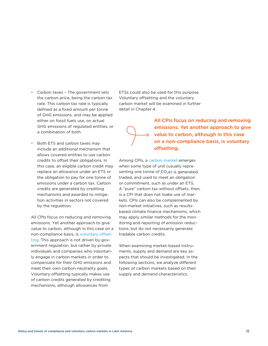- Carbon taxes The government sets the carbon price, being the carbon tax rate. This carbon tax rate is typically defined as a fixed amount per tonne of GHG emissions, and may be applied either on fossil fuels use, on actual GHG emissions of regulated entities, or a combination of both.
- Both ETS and carbon taxes may include an additional mechanism that allows covered entities to use carbon credits to offset their obligations. In this case, an eligible carbon credit may replace an allowance under an ETS or the obligation to pay for one tonne of emissions under a carbon tax. Carbon credits are generated by crediting mechanisms and awarded to mitigation activities in sectors not covered by the regulation.

All CPIs focus on reducing and removing emissions. Yet another approach to give value to carbon, although in this case on a non-compliance basis, is voluntary offsetting. This approach is not driven by government regulation, but rather by private individuals and companies who voluntarily engage in carbon markets in order to compensate for their GHG emissions and meet their own carbon-neutrality goals. Voluntary offsetting typically makes use of carbon credits generated by crediting mechanisms, although allowances from

ETSs could also be used for this purpose. Voluntary offsetting and the voluntary carbon market will be examined in further detail in Chapter 4.



All CPIs focus on reducing and removing emissions. Yet another approach to give value to carbon, although in this case on a non-compliance basis, is voluntary offsetting.

Among CPIs, a carbon market emerges when some type of unit (usually representing one tonne of  $CO<sub>2</sub>e$ ) is generated, traded, and used to meet an obligation or commitment, such as under an ETS. A "pure" carbon tax without offsets, then, is a CPI that does not make use of markets. CPIs can also be complemented by non-market initiatives, such as resultsbased climate finance mechanisms, which may apply similar methods for the monitoring and reporting of emission reductions, but do not necessarily generate tradable carbon credits.

When examining market-based instruments, supply and demand are key aspects that should be investigated. In the following sections, we analyze different types of carbon markets based on their supply and demand characteristics.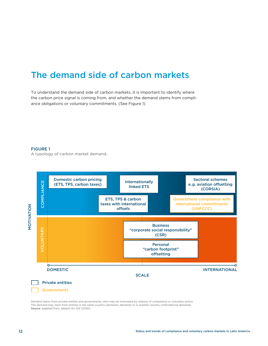## <span id="page-11-0"></span>The demand side of carbon markets

Figure 01 the carbon price signal is coming from, and whether the demand stems from complia typology of carbon market demand: Demand: Demand stems from private entities and governments, who were not g<br>and a stems from private entities and governments, who were also and governments, who were also also and gover ance obligations or voluntary commitments. (See Figure 1) To understand the demand side of carbon markets, it is important to identify where

#### FIGURE 1

A typology of carbon market demand..



Demand stems from private entities and governments, who may be motivated by reasons of compliance or voluntary action. The demand may stem from entities in the same country (domestic demand) or in another country (international demand). Source: adapted from: adelphi for GIZ (2020)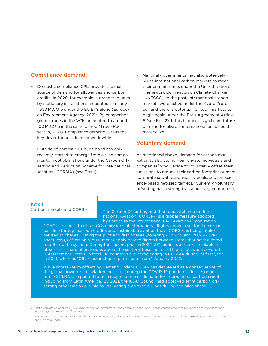#### Compliance demand:

- Domestic compliance CPIs provide the main source of demand for allowances and carbon credits. In 2020, for example, surrendered units by stationary installations amounted to nearly 1.350 MtCO<sub>2</sub>e under the EU ETS alone (European Environment Agency, 2021). By comparison, global trades in the VCM amounted to around 100 MtCO<sub>2</sub>e in the same period (Trove Research, 2021). Compliance demand is thus the key driver for unit demand worldwide.
- Outside of domestic CPIs, demand has only recently started to emerge from airline companies to meet obligations under the Carbon Offsetting and Reduction Scheme for International Aviation (CORSIA) (see Box 1).
- National governments may also potentially use international carbon markets to meet their commitments under the United Nations Framework Convention on Climate Change (UNFCCC). In the past, international carbon markets were active under the Kyoto Protocol, and there is potential for such markets to begin again under the Paris Agreement Article 6 (see Box 2). If this happens, significant future demand for eligible international units could materialize.

#### Voluntary demand:

As mentioned above, demand for carbon market units also stems from private individuals and companies<sup>2</sup> who decide to voluntarily offset their emissions to reduce their carbon footprint or meet corporate social responsibility goals, such as science-based net-zero targets.<sup>3</sup> Currently voluntary offsetting has a strong transboundary component,

#### BOX 1 Carbon markets and CORSIA

The Carbon Offsetting and Reduction Scheme for International Aviation (CORSIA) is a global measure adopted by Parties to the International Civil Aviation Organization

(ICAO). Its aim is to offset CO<sub>2</sub> emissions of international flights above a sectoral emissions baseline through carbon credits and sustainable aviation fuels. CORSIA is being implemented in phases. During the pilot and first phases (covering 2021–23, and 2024–26 respectively), offsetting requirements apply only to flights between states that have elected to opt into the system. During the second phase (2027–35), airline operators are liable to offset their share of emissions above the sectoral baseline for all flights between covered ICAO Member States. In total, 88 countries are participating in CORSIA during its first year, in 2021, whereas 106 are expected to participate from 1 January 2022.

While shorter-term offsetting demand under CORSIA has decreased as a consequence of the global downturn in aviation emissions during the COVID-19 pandemic, in the longer term CORSIA is expected to be a major source of demand for international carbon credits, including from Latin America. By 2021, the ICAO Council had approved eight carbon offsetting programs as eligible for delivering credits to airlines during the pilot phase.

2 Just as private companies pursue voluntary action, government bodies may also look to purchase carbon credits to reduce their carbon footprint or achieve "green procurement" targets.

<sup>3</sup>  Beyond "end users", voluntary demand is also driven by intermediaries and market players that acquire carbon units as financial assets, often with a speculative purpose.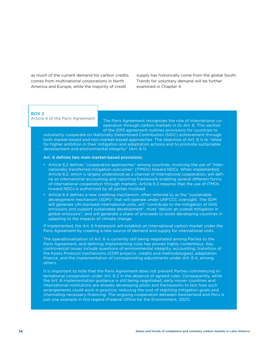as much of the current demand for carbon credits comes from multinational corporations in North America and Europe, while the majority of credit

supply has historically come from the global South. Trends for voluntary demand will be further examined in Chapter 4.

#### BOX 2

Article 6 of the Paris Agreement

The Paris Agreement recognizes the role of international cooperation through carbon markets in its Art. 6. This section of the 2015 agreement outlines provisions for countries to

voluntarily cooperate on Nationally Determined Contribution (NDC) achievement through both market-based and non-market-based approaches. The objective of Art. 6 is to "allow for higher ambition in their mitigation and adaptation actions and to promote sustainable development and environmental integrity" (Art. 6.1).

#### Art. 6 defines two main market-based provisions:

- Article 6.2 defines "cooperative approaches" among countries, involving the use of "internationally transferred mitigation outcomes" (ITMOs) toward NDCs. When implemented, Article 6.2, which is largely understood as a channel of international cooperation, will define an international accounting and reporting framework enabling several different forms of international cooperation through markets. Article 6.3 requires that the use of ITMOs toward NDCs is authorized by all parties involved.
- Article 6.4 defines a new crediting mechanism, often referred to as the "sustainable development mechanism (SDM)" that will operate under UNFCCC oversight. The SDM will generate UN-stamped international units, will "contribute to the mitigation of GHG emissions and support sustainable development", must "deliver an overall mitigation in global emissions", and will generate a share of proceeds to assist developing countries in adapting to the impacts of climate change.

If implemented, the Art. 6 framework will establish an international carbon market under the Paris Agreement by creating a new source of demand and supply for international units.

The operationalization of Art. 6 is currently still being negotiated among Parties to the Paris Agreement, and defining implementing rules has proven highly contentious. Key controversial issues include questions of environmental integrity, accounting, transition of the Kyoto Protocol mechanisms (CDM projects, credits and methodologies), adaptation finance, and the implementation of corresponding adjustments under Art. 6.4, among others.

It is important to note that the Paris Agreement does not prevent Parties commencing international cooperation under Art. 6.2 in the absence of agreed rules. Consequently, while the Art. 6 implementation guidance is still being negotiated, early mover countries and international institutions are already developing pilots and frameworks to test how such arrangements could work in practice, reducing the cost of reaching mitigation goals and channeling necessary financing. The ongoing cooperation between Switzerland and Peru is just one example in this regard (Federal Office for the Environment, 2021).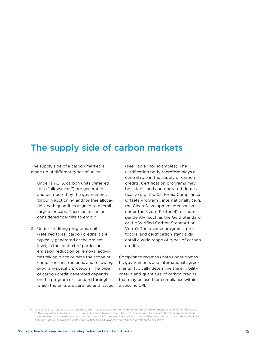## <span id="page-14-0"></span>The supply side of carbon markets

The supply side of a carbon market is made up of different types of units:

- 1. Under an ETS, carbon units (referred to as "allowances") are generated and distributed by the government, through auctioning and/or free allocation, with quantities aligned to overall targets or caps. These units can be considered "permits to emit".4
- 2. Under crediting programs, units (referred to as "carbon credits") are typically generated at the project level, in the context of particular emission reduction or removal activities taking place outside the scope of compliance instruments, and following program-specific protocols. The type of carbon credit generated depends on the program or standard through which the units are certified and issued

(see Table 1 for examples). The certification body therefore plays a central role in the supply of carbon credits. Certification programs may be established and operated domestically (e.g. the California Compliance Offsets Program), internationally (e.g. the Clean Development Mechanism under the Kyoto Protocol), or independently (such as the Gold Standard or the Verified Carbon Standard of Verra). The diverse programs, protocols, and certification standards entail a wide range of types of carbon credits.

Compliance regimes (both under domestic governments and international agreements) typically determine the eligibility criteria and quantities of carbon credits that may be used for compliance within a specific CPI.

<sup>4</sup> Like allowances under an ETS, tradable performance units (TPS-units) are generated by governments strictly within the scope of this type of system. Under a TPS, units are typically given to entities that have proven to have emitted less emissions than those allowed by their baseline and can be stored for future use or traded with entities that have emission levels above their own baselines. Unlike allowances, units under a TPS are units awarded for reduced or mitigated emissions.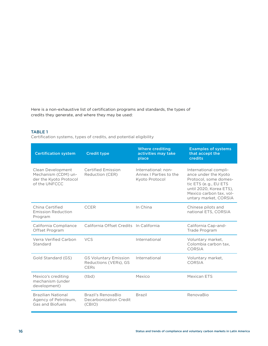Here is a non-exhaustive list of certification programs and standards, the types of credits they generate, and where they may be used:

#### TABLE 1

Certification systems, types of credits, and potential eligibility

| <b>Certification system</b>                                                         | <b>Credit type</b>                                            | <b>Where crediting</b><br>activities may take<br>place          | <b>Examples of systems</b><br>that accept the<br><b>credits</b>                                                                                                                |
|-------------------------------------------------------------------------------------|---------------------------------------------------------------|-----------------------------------------------------------------|--------------------------------------------------------------------------------------------------------------------------------------------------------------------------------|
| Clean Development<br>Mechanism (CDM) un-<br>der the Kyoto Protocol<br>of the UNFCCC | <b>Certified Emission</b><br>Reduction (CER)                  | International: non-<br>Annex I Parties to the<br>Kyoto Protocol | International compli-<br>ance under the Kyoto<br>Protocol, some domes-<br>tic ETS (e.g., EU ETS<br>until 2020, Korea ETS),<br>Mexico carbon tax, vol-<br>untary market, CORSIA |
| China Certified<br><b>Emission Reduction</b><br>Program                             | <b>CCER</b>                                                   | In China                                                        | Chinese pilots and<br>national ETS, CORSIA                                                                                                                                     |
| California Compliance<br>Offset Program                                             | California Offset Credits In California                       |                                                                 | California Cap-and-<br>Trade Program                                                                                                                                           |
| Verra Verified Carbon<br>Standard                                                   | <b>VCS</b>                                                    | International                                                   | Voluntary market,<br>Colombia carbon tax.<br><b>CORSIA</b>                                                                                                                     |
| Gold Standard (GS)                                                                  | <b>GS Voluntary Emission</b><br>Reductions (VERs), GS<br>CERs | International                                                   | Voluntary market,<br>CORSIA                                                                                                                                                    |
| Mexico's crediting<br>mechanism (under<br>development)                              | (tbd)                                                         | Mexico                                                          | Mexican ETS                                                                                                                                                                    |
| <b>Brazilian National</b><br>Agency of Petroleum,<br><b>Gas and Biofuels</b>        | Brazil's RenovaBio<br>Decarbonization Credit<br>(CBIO)        | <b>Brazil</b>                                                   | RenovaBio                                                                                                                                                                      |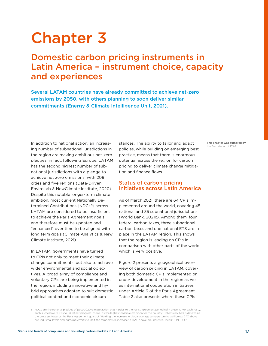## <span id="page-16-0"></span>Chapter 3

## Domestic carbon pricing instruments in Latin America – instrument choice, capacity and experiences

Several LATAM countries have already committed to achieve net-zero emissions by 2050, with others planning to soon deliver similar commitments (Energy & Climate Intelligence Unit, 2021).

In addition to national action, an increasing number of subnational jurisdictions in the region are making ambitious net-zero pledges; in fact, following Europe, LATAM has the second highest number of subnational jurisdictions with a pledge to achieve net zero emissions, with 209 cities and five regions (Data-Driven EnviroLab & NewClimate Institute, 2020). Despite this notable longer-term climate ambition, most current Nationally Determined Contributions (NDCs<sup>5</sup>) across LATAM are considered to be insufficient to achieve the Paris Agreement goals and therefore must be updated and "enhanced" over time to be aligned with long term goals (Climate Analytics & New Climate Institute, 2021).

In LATAM, governments have turned to CPIs not only to meet their climate change commitments, but also to achieve wider environmental and social objectives. A broad array of compliance and voluntary CPIs are being implemented in the region, including innovative and hybrid approaches adapted to suit domestic political context and economic circumstances. The ability to tailor and adapt policies, while building on emerging best practice, means that there is enormous potential across the region for carbon pricing to deliver climate change mitigation and finance flows.

#### Status of carbon pricing initiatives across Latin America

As of March 2021, there are 64 CPIs implemented around the world, covering 45 national and 35 subnational jurisdictions (World Bank, 2021c). Among them, four federal carbon taxes, three subnational carbon taxes and one national ETS are in place in the LATAM region. This shows that the region is leading on CPIs in comparison with other parts of the world, which is very positive.

Figure 2 presents a geographical overview of carbon pricing in LATAM, covering both domestic CPIs implemented or under development in the region as well as international cooperation initiatives under Article 6 of the Paris Agreement. Table 2 also presents where these CPIs

5 NDCs are the national pledges of post-2020 climate action that Parties to the Paris Agreement periodically present. For each Party, each successive NDC should reflect progress, as well as the highest possible ambition for the country. Collectively, NDCs determine the progress towards the Paris Agreement goals of "Holding the increase in global average temperature to well below 2°C above pre-industrial levels and pursuing efforts to limit the temperature increase to 1.5°C above pre-industrial levels" (UNFCCC).

This chapter was authored by the Secretariat of ICAP.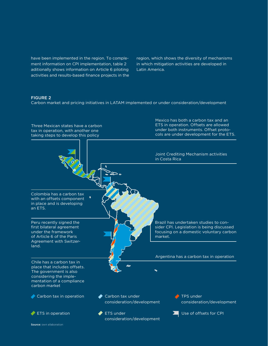have been implemented in the region. To complement information on CPI implementation, table 2 aditionally shows information on Article 6 piloting activities and results-based finance projects in the region, which shows the diversity of mechanisms in which mitigation activities are developed in Latin America.

#### FIGURE 2

Carbon market and pricing initiatives in LATAM implemented or under consideration/development

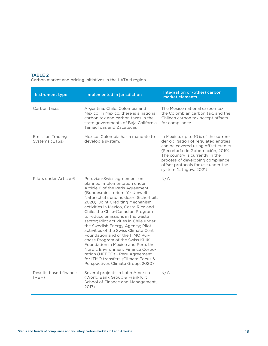#### TABLE 2

Carbon market and pricing initiatives in the LATAM region

| <b>Instrument type</b>                    | Implemented in jurisdiction                                                                                                                                                                                                                                                                                                                                                                                                                                                                                                                                                                                                                                                                                           | Integration of (other) carbon<br>market elements                                                                                                                                                                                                                                                |
|-------------------------------------------|-----------------------------------------------------------------------------------------------------------------------------------------------------------------------------------------------------------------------------------------------------------------------------------------------------------------------------------------------------------------------------------------------------------------------------------------------------------------------------------------------------------------------------------------------------------------------------------------------------------------------------------------------------------------------------------------------------------------------|-------------------------------------------------------------------------------------------------------------------------------------------------------------------------------------------------------------------------------------------------------------------------------------------------|
| Carbon taxes                              | Argentina, Chile, Colombia and<br>Mexico. In Mexico, there is a national<br>carbon tax and carbon taxes in the<br>state governments of Baja California,<br><b>Tamaulipas and Zacatecas</b>                                                                                                                                                                                                                                                                                                                                                                                                                                                                                                                            | The Mexico national carbon tax.<br>the Colombian carbon tax, and the<br>Chilean carbon tax accept offsets<br>for compliance.                                                                                                                                                                    |
| <b>Emission Trading</b><br>Systems (ETSs) | Mexico. Colombia has a mandate to<br>develop a system.                                                                                                                                                                                                                                                                                                                                                                                                                                                                                                                                                                                                                                                                | In Mexico, up to 10% of the surren-<br>der obligation of regulated entities<br>can be covered using offset credits<br>(Secretaría de Gobernación, 2019).<br>The country is currently in the<br>process of developing compliance<br>offset protocols for use under the<br>system (Lithgow, 2021) |
| Pilots under Article 6                    | Peruvian-Swiss agreement on<br>planned implementation under<br>Article 6 of the Paris Agreement<br>(Bundesministerium für Umwelt,<br>Naturschutz und nukleare Sicherheit,<br>2020); Joint Crediting Mechanism<br>activities in Mexico, Costa Rica and<br>Chile; the Chile-Canadian Program<br>to reduce emissions in the waste<br>sector; Pilot activities in Chile under<br>the Swedish Energy Agency; Pilot<br>activities of the Swiss Climate Cent<br>Foundation and of the ITMO Pur-<br>chase Program of the Swiss KLIK<br>Foundation in Mexico and Peru; the<br>Nordic Environment Finance Corpo-<br>ration (NEFCO) - Peru Agreement<br>for ITMO transfers (Climate Focus &<br>Perspectives Climate Group, 2020) | N/A                                                                                                                                                                                                                                                                                             |
| Results-based finance<br>(RBF)            | Several projects in Latin America<br>(World Bank Group & Frankfurt<br>School of Finance and Management,<br>2017)                                                                                                                                                                                                                                                                                                                                                                                                                                                                                                                                                                                                      | N/A                                                                                                                                                                                                                                                                                             |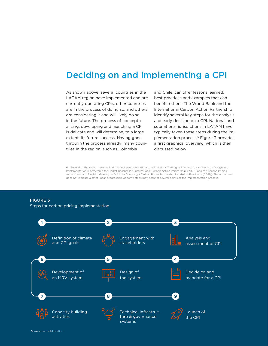#### <span id="page-19-0"></span>**Bearing on and imprementing a** 1 2 3 Deciding on and implementing a CPI

are considering it and will likely do so in the future. The process of conceptu- $\frac{1}{2}$ activities through the process already, many coun-<br>expansive and provided and provided and provided and provided and provided and provided and provided and provid tries in the region, such as Colombia LATAM region have implemented and are is delicate and will determine, to a large As shown above, several countries in the currently operating CPIs, other countries are in the process of doing so, and others alizing, developing and launching a CPI extent, its future success. Having gone

identify several key steps for the analysis and early decision on a CPI. National and .<br>a first graphical overview, which is then discussed below. best practices and examples that can typically taken these steps during the imand Chile, can offer lessons learned, benefit others. The World Bank and the International Carbon Action Partnership subnational jurisdictions in LATAM have plementation process.6 Figure 3 provides

6 Several of the steps presented here reflect two publications: the Emissions Trading in Practice: A Handbook on Design and Implementation (Partnership for Market Readiness & International Carbon Action Partnership, (2021)) and the Carbon Pricing Assessment and Decision-Making: A Guide to Adopting a Carbon Price (Partnership for Market Readiness (2021)). The order here does not indicate a strict linear progression, as some steps may occur at several points of the implementation process.

### FIGURE 3

Steps for carbon pricing implementation

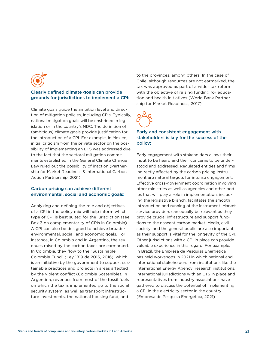

#### Clearly defined climate goals can provide grounds for jurisdictions to implement a CPI:

Climate goals guide the ambition level and direction of mitigation policies, including CPIs. Typically, national mitigation goals will be enshrined in legislation or in the country's NDC. The definition of (ambitious) climate goals provide justification for the introduction of a CPI. For example, in Mexico, initial criticism from the private sector on the possibility of implementing an ETS was addressed due to the fact that the sectoral mitigation commitments established in the General Climate Change Law ruled out the possibility of inaction (Partnership for Market Readiness & International Carbon Action Partnership, 2021).

#### Carbon pricing can achieve different environmental, social and economic goals:

Analyzing and defining the role and objectives of a CPI in the policy mix will help inform which type of CPI is best suited for the jurisdiction (see Box 3 on complementarity of CPIs in Colombia). A CPI can also be designed to achieve broader environmental, social, and economic goals. For instance, in Colombia and in Argentina, the revenues raised by the carbon taxes are earmarked. In Colombia, they flow to the "Sustainable Colombia Fund" (Ley 1819 de 2016, 2016), which is an initiative by the government to support sustainable practices and projects in areas affected by the violent conflict (Colombia Sostenible). In Argentina, revenues from most of the fossil fuels on which the tax is implemented go to the social security system, as well as transport infrastructure investments, the national housing fund, and

to the provinces, among others. In the case of Chile, although resources are not earmarked, the tax was approved as part of a wider tax reform with the objective of raising funding for education and health initiatives (World Bank Partnership for Market Readiness, 2017).



#### Early and consistent engagement with stakeholders is key for the success of the policy:

Early engagement with stakeholders allows their input to be heard and their concerns to be understood and addressed. Regulated entities and firms indirectly affected by the carbon pricing instrument are natural targets for intense engagement. Effective cross-government coordination involving other ministries as well as agencies and other bodies that will play a role in implementation, including the legislative branch, facilitates the smooth introduction and running of the instrument. Market service providers can equally be relevant as they provide crucial infrastructure and support functions to the nascent carbon market. Media, civil society, and the general public are also important, as their support is vital for the longevity of the CPI. Other jurisdictions with a CPI in place can provide valuable experience in this regard. For example, in Brazil, the Empresa de Pesquisa Energética has held workshops in 2021 in which national and international stakeholders from institutions like the International Energy Agency, research institutions, international jurisdictions with an ETS in place and representatives from industry associations have gathered to discuss the potential of implementing a CPI in the electricity sector in the country (Empresa de Pesquisa Energética, 2021)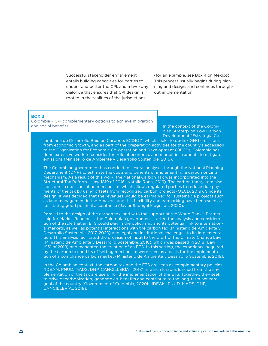Successful stakeholder engagement entails building capacities for parties to understand better the CPI, and a two-way dialogue that ensures that CPI design is rooted in the realities of the jurisdictions

(for an example, see Box 4 on Mexico). This process usually begins during planning and design, and continues throughout implementation.

#### BOX 3

Colombia – CPI complementary options to achieve mitigation and social benefits

In the context of the Colombian Strategy on Low Carbon Development (Estrategia Co-

lombiana de Desarrollo Bajo en Carbono, ECDBC), which seeks to de-link GHG emissions from economic growth, and as part of the preparation activities for the country's accession to the Organization for Economic Co-operation and Development (OECD), Colombia has done extensive work to consider the role of economic and market instruments to mitigate emissions (Ministerio de Ambiente y Desarrollo Sostenible, 2016).

The Colombian government has conducted several analyses through the National Planning Department (DNP) to estimate the costs and benefits of implementing a carbon pricing mechanism. As a result of this work, the National Carbon Tax was incorporated into the Structural Tax Reform – Law 1819 of 2016 (Natalie Rona, 2019). The carbon tax system also considers a non-causation mechanism, which allows regulated parties to reduce due payments of the tax by using offsets from recognized carbon projects (OECD, 2019). Since its design, it was decided that the revenues would be earmarked for sustainable projects such as land management in the Amazon, and this flexibility and earmarking have been seen as facilitating good political acceptance (Javier Sabogal Mogollón, 2020).

Parallel to the design of the carbon tax, and with the support of the World Bank's Partnership for Market Readiness, the Colombian government started the analysis and consideration of the role that an ETS could play in the policy mix and its potential link to international markets, as well as potential interactions with the carbon tax (Ministerio de Ambiente y Desarrollo Sostenible, 2017, 2020) and legal and institutional challenges to its implementation. This analysis facilitated the provision of input to the draft of the Climate Change Law (Ministerio de Ambiente y Desarrollo Sostenible, 2018), which was passed in 2018 (Law 1931 of 2018) and mandated the creation of an ETS. In this setting, the experience acquired by the carbon tax and its offsetting mechanism were seen as a basis for the implementation of a compliance carbon market (Ministerio de Ambiente y Desarrollo Sostenible, 2019).

In the Colombian context, the carbon tax and the ETS are seen as complementary policies (IDEAM, PNUD, MADS, DNP, CANCILLERÍA., 2018) in which lessons learned from the implementation of the tax are useful for the implementation of the ETS. Together, they seek to drive decarbonization, generate co-benefits and contribute to the long-term net zero goal of the country (Government of Colombia, 2020b; IDEAM, PNUD, MADS, DNP, CANCILLERÍA., 2018).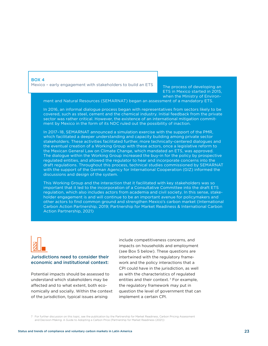#### BOX 4

Mexico – early engagement with stakeholders to build an ETS

The process of developing an ETS in Mexico started in 2015, when the Ministry of Environ-

ment and Natural Resources (SEMARNAT) began an assessment of a mandatory ETS.

In 2016, an informal dialogue process began with representatives from sectors likely to be covered, such as steel, cement and the chemical industry. Initial feedback from the private sector was rather critical. However, the existence of an international mitigation commitment by Mexico in the form of its NDC ruled out the possibility of inaction.

In 2017–18, SEMARNAT announced a simulation exercise with the support of the PMR, which facilitated a deeper understanding and capacity building among private sector stakeholders. These activities facilitated further, more technically-centered dialogues and the eventual creation of a Working Group with these actors, once a legislative reform to the Mexican General Law on Climate Change, which mandated an ETS, was approved. The dialogue within the Working Group increased the buy-in for the policy by prospective regulated entities, and allowed the regulator to hear and incorporate concerns into the draft regulations. Throughout this process, technical studies commissioned by SEMARNAT with the support of the German Agency for International Cooperation (GIZ) informed the discussions and design of the system.

This Working Group and the interaction that it facilitated with key stakeholders was so important that it led to the incorporation of a Consultative Committee into the draft ETS regulation, which also includes actors from academia and civil society. In this sense, stakeholder engagement is and will continue to be an important avenue for policymakers and other actors to find common ground and strengthen Mexico's carbon market (International Carbon Action Partnership, 2019; Partnership for Market Readiness & International Carbon Action Partnership, 2021)



#### Jurisdictions need to consider their economic and institutional context:

Potential impacts should be assessed to understand which stakeholders may be affected and to what extent, both economically and socially. Within the context of the jurisdiction, typical issues arising

include competitiveness concerns, and impacts on households and employment (see Box 5 below). These questions are intertwined with the regulatory framework and the policy interactions that a CPI could have in the jurisdiction, as well as with the characteristics of regulated entities and their context.<sup>7</sup> For example, the regulatory framework may put in question the level of government that can implement a certain CPI.

7 For further discussion on this topic, see the publication by the Partnership for Market Readiness, Carbon Pricing Assessment and Decision-Making: A Guide to Adopting a Carbon Price (Partnership for Market Readiness (2021))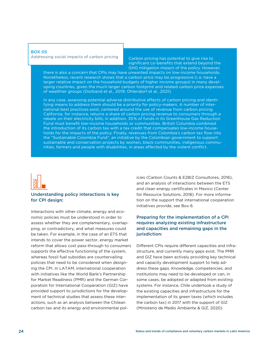#### BOX 05

Addressing social impacts of carbon pricing

Carbon pricing has potential to give rise to significant co-benefits that extend beyond the GHG mitigation impact of the policy. However,

there is also a concern that CPIs may have unwanted impacts on low-income households. Nonetheless, recent research shows that a carbon price may be progressive (i.e. have a larger relative impact on the household budgets of higher income groups) in many developing countries, given the much larger carbon footprint and related carbon price expenses of wealthier groups (Dorband et al., 2019; Ohlendorf et al., 2021).

In any case, assessing potential adverse distributive effects of carbon pricing and identifying means to address them should be a priority for policy-makers. A number of international best practices exist, centered around the use of revenue from carbon pricing. California, for instance, returns a share of carbon pricing revenue to consumers through a rebate on their electricity bills; in addition, 35% of funds in its Greenhouse Gas Reduction Fund must benefit low-income households or communities. British Columbia combined the introduction of its carbon tax with a tax credit that compensates low-income households for the impacts of the policy. Finally, revenues from Colombia's carbon tax flow into the "Sustainable Colombia Fund", an initiative by the Colombian government to support sustainable and conservation projects by women, black communities, indigenous communities, farmers and people with disabilities, in areas affected by the violent conflict.



#### Understanding policy interactions is key for CPI design:

Interactions with other climate, energy and economic policies must be understood in order to assess whether they are complementary, overlapping, or contradictory, and what measures could be taken. For example, in the case of an ETS that intends to cover the power sector, energy market reform that allows cost pass-through to consumers supports the effective functioning of the system, whereas fossil fuel subsidies are countervailing policies that need to be considered when designing the CPI. In LATAM, international cooperation with initiatives like the World Bank's Partnership for Market Readiness (PMR) and the German Corporation for International Cooperation (GIZ) have provided support to jurisdictions for the development of technical studies that assess these interactions, such as an analysis between the Chilean carbon tax and its energy and environmental policies (Carbon Counts & E2BIZ Consultores, 2016), and an analysis of interactions between the ETS and clean energy certificates in Mexico (Center for Resource Solutions, 2018). For more information on the support that international cooperation initiatives provide, see Box 6.

#### Preparing for the implementation of a CPI requires analyzing existing infrastructure and capacities and remaining gaps in the jurisdiction:

Different CPIs require different capacities and infrastructure, and currently many gaps exist. The PMR and GIZ have been actively providing key technical and capacity development support to help address these gaps. Knowledge, competencies, and institutions may need to be developed or can, in some cases, be adopted or adapted from existing systems. For instance, Chile undertook a study of the existing capacities and infrastructure for the implementation of its green taxes (which includes the carbon tax) in 2017 with the support of GIZ (Ministerio de Medio Ambiente & GIZ, 2020).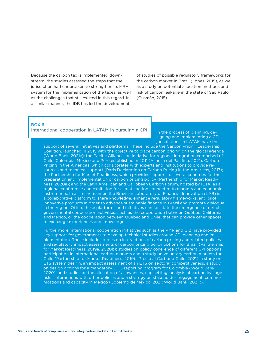Because the carbon tax is implemented downstream, the studies assessed the steps that the jurisdiction had undertaken to strengthen its MRV system for the implementation of the taxes, as well as the challenges that still existed in this regard. In a similar manner, the IDB has led the development

of studies of possible regulatory frameworks for the carbon market in Brazil (Lopes, 2015), as well as a study on potential allocation methods and risk of carbon leakage in the state of São Paulo (Gusmão, 2015).

#### BOX 6

#### International cooperation in LATAM in pursuing a CPI

In the process of planning, designing and implementing a CPI, jurisdictions in LATAM have the

support of several initiatives and platforms. These include the Carbon Pricing Leadership Coalition, launched in 2015 with the objective to place carbon pricing on the global agenda (World Bank, 2021a); the Pacific Alliance, an initiative for regional integration comprised of Chile, Colombia, Mexico and Peru established in 2011 (Alianza del Pacífico, 2021); Carbon Pricing in the Americas, which collaborates with experts and institutions to provide resources and technical support (Paris Declaration on Carbon Pricing in the Americas, 2017); the Partnership for Market Readiness, which provides support to several countries for the preparation and implementation of carbon pricing policy (Partnership for Market Readiness, 2020a); and the Latin American and Caribbean Carbon Forum, hosted by IETA, as a regional conference and exhibition for climate action connected to markets and economic instruments. In a similar manner, the Brazilian Laboratory of Financial Innovation (LAB) is a collaborative platform to share knowledge, enhance regulatory frameworks, and pilot innovative products in order to advance sustainable finance in Brazil and promote dialogue in the region. Often, these platforms and initiatives can facilitate the emergence of direct governmental cooperation activities, such as the cooperation between Québec, California and Mexico, or the cooperation between Québec and Chile, that can provide other spaces to exchange experiences and knowledge.

Furthermore, international cooperation initiatives such as the PMR and GIZ have provided key support for governments to develop technical studies around CPI planning and implementation. These include studies on interactions of carbon pricing and related policies and regulatory impact assessments of carbon pricing policy options for Brazil (Partnership for Market Readiness, 2019a, 2020b); studies on policy coherence of different CPI options, participation in international carbon markets and a study on voluntary carbon markets for Chile (Partnership for Market Readiness, 2019b; Precio al Carbono Chile, 2021); a study on ETS system design, an impact assessment of an ETS on sectoral competitiveness, a study on design options for a mandatory GHG reporting program for Colombia (World Bank, 2020); and studies on the allocation of allowances, cap setting, analysis of carbon leakage risks, interactions with other policies and a strategy on stakeholder engagement, communications and capacity in Mexico (Gobierno de México, 2021; World Bank, 2021b).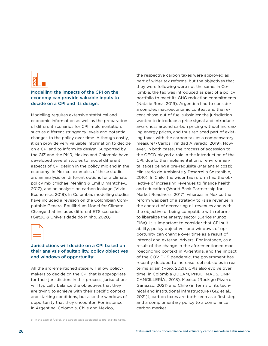

#### Modelling the impacts of the CPI on the economy can provide valuable inputs to decide on a CPI and its design:

Modelling requires extensive statistical and economic information as well as the preparation of different scenarios for CPI implementation, such as different stringency levels and potential changes to the policy over time. Although costly, it can provide very valuable information to decide on a CPI and to inform its design. Supported by the GIZ and the PMR, Mexico and Colombia have developed several studies to model different aspects of CPI design in the policy mix and in the economy. In Mexico, examples of these studies are an analysis on different options for a climate policy mix (Michael Mehling & Emil Dimantchev., 2017), and an analysis on carbon leakage (Vivid Economics, 2018). In Colombia, modelling studies have included a revision on the Colombian Computable General Equilibrium Model for Climate Change that includes different ETS scenarios (Get2C & Universidade do Minho, 2020).



#### Jurisdictions will decide on a CPI based on their analysis of suitability, policy objectives and windows of opportunity:

All the aforementioned steps will allow policymakers to decide on the CPI that is appropriate for their jurisdiction. In this process, jurisdictions will typically balance the objectives that they are trying to achieve with their specific context and starting conditions, but also the windows of opportunity that they encounter. For instance, in Argentina, Colombia, Chile and Mexico,

the respective carbon taxes were approved as part of wider tax reforms, but the objectives that they were following were not the same. In Colombia, the tax was introduced as part of a policy portfolio to meet its GHG reduction commitments (Natalie Rona, 2019). Argentina had to consider a complex macroeconomic context and the recent phase-out of fuel subsidies: the jurisdiction wanted to introduce a price signal and introduce awareness around carbon pricing without increasing energy prices, and thus replaced part of existing taxes with the carbon tax as a compensatory measure8 (Carlos Trinidad Alvarado, 2019). However, in both cases, the process of accession to the OECD played a role in the introduction of the CPI, due to the implementation of environmental taxes being a pre-requisite (Mariana Micozzi; Ministerio de Ambiente y Desarrollo Sostenible, 2016). In Chile, the wider tax reform had the objective of increasing revenues to finance health and education (World Bank Partnership for Market Readiness, 2017), whereas in Mexico the reform was part of a strategy to raise revenue in the context of decreasing oil revenues and with the objective of being compatible with reforms to liberalize the energy sector (Carlos Muñoz Piña). It is important to consider that CPI suitability, policy objectives and windows of opportunity can change over time as a result of internal and external drivers. For instance, as a result of the change in the aforementioned macroeconomic context in Argentina, and the impact of the COVID-19 pandemic, the government has recently decided to increase fuel subsidies in real terms again (Rojo, 2021). CPIs also evolve over time: in Colombia (IDEAM, PNUD, MADS, DNP, CANCILLERÍA., 2018), Mexico (Rodrigo Pizarro Gariazzo, 2021) and Chile (in terms of its technical and institutional infrastructure (GIZ et al., 2021)), carbon taxes are both seen as a first step and a complementary policy to a compliance carbon market.

8 In the case of fuel oil, the carbon tax is additional to pre-existing taxes.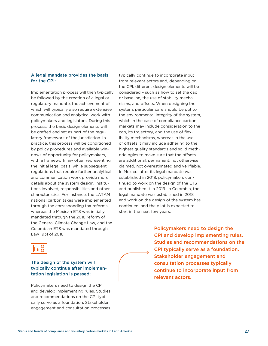#### A legal mandate provides the basis for the CPI:

Implementation process will then typically be followed by the creation of a legal or regulatory mandate, the achievement of which will typically also require extensive communication and analytical work with policymakers and legislators. During this process, the basic design elements will be crafted and set as part of the regulatory framework of the jurisdiction. In practice, this process will be conditioned by policy procedures and available windows of opportunity for policymakers, with a framework law often representing the initial legal basis, while subsequent regulations that require further analytical and communication work provide more details about the system design, institutions involved, responsibilities and other characteristics. For instance, the LATAM national carbon taxes were implemented through the corresponding tax reforms, whereas the Mexican ETS was initially mandated through the 2018 reform of the General Climate Change Law, and the Colombian ETS was mandated through Law 1931 of 2018.

typically continue to incorporate input from relevant actors and, depending on the CPI, different design elements will be considered – such as how to set the cap or baseline, the use of stability mechanisms, and offsets. When designing the system, particular care should be put to the environmental integrity of the system, which in the case of compliance carbon markets may include consideration to the cap, its trajectory, and the use of flexibility mechanisms, whereas in the use of offsets it may include adhering to the highest quality standards and solid methodologies to make sure that the offsets are additional, permanent, not otherwise claimed, not overestimated and verifiable. In Mexico, after its legal mandate was established in 2018, policymakers continued to work on the design of the ETS and published it in 2019. In Colombia, the legal mandate was established in 2018 and work on the design of the system has continued, and the pilot is expected to start in the next few years.



The design of the system will typically continue after implementation legislation is passed:

Policymakers need to design the CPI and develop implementing rules. Studies and recommendations on the CPI typically serve as a foundation. Stakeholder engagement and consultation processes

Policymakers need to design the CPI and develop implementing rules. Studies and recommendations on the CPI typically serve as a foundation. Stakeholder engagement and consultation processes typically continue to incorporate input from relevant actors.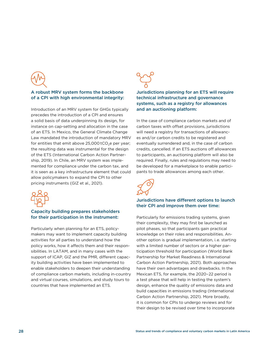#### A robust MRV system forms the backbone of a CPI with high environmental integrity:

Introduction of an MRV system for GHGs typically precedes the introduction of a CPI and ensures a solid basis of data underpinning its design, for instance on cap-setting and allocation in the case of an ETS. In Mexico, the General Climate Change Law mandated the introduction of mandatory MRV for entities that emit above  $25,000$  tCO<sub>2</sub>e per year; the resulting data was instrumental for the design of the ETS (International Carbon Action Partnership, 2019). In Chile, an MRV system was implemented for compliance under the carbon tax, and it is seen as a key infrastructure element that could allow policymakers to expand the CPI to other pricing instruments (GIZ et al., 2021).



#### Capacity building prepares stakeholders for their participation in the instrument:

Particularly when planning for an ETS, policymakers may want to implement capacity building activities for all parties to understand how the policy works, how it affects them and their responsibilities. In LATAM, and in many cases with the support of ICAP, GIZ and the PMR, different capacity building activities have been implemented to enable stakeholders to deepen their understanding of compliance carbon markets, including in-country and virtual courses, simulations, and study tours to countries that have implemented an ETS.



#### Jurisdictions planning for an ETS will require technical infrastructure and governance systems, such as a registry for allowances and an auctioning platform:

In the case of compliance carbon markets and of carbon taxes with offset provisions, jurisdictions will need a registry for transactions of allowances and/or carbon credits to be registered and eventually surrendered and, in the case of carbon credits, cancelled. If an ETS auctions off allowances to participants, an auctioning platform will also be required. Finally, rules and regulations may need to be developed for a marketplace to enable participants to trade allowances among each other.



#### Jurisdictions have different options to launch their CPI and improve them over time:

Particularly for emissions trading systems, given their complexity, they may first be launched as pilot phases, so that participants gain practical knowledge on their roles and responsibilities. Another option is gradual implementation, i.e. starting with a limited number of sectors or a higher participation threshold for participation (World Bank Partnership for Market Readiness & International Carbon Action Partnership, 2021). Both approaches have their own advantages and drawbacks. In the Mexican ETS, for example, the 2020–22 period is a test phase that will help in testing the system's design, enhance the quality of emissions data and build capacities in emissions trading (International Carbon Action Partnership, 2021). More broadly, it is common for CPIs to undergo reviews and for their design to be revised over time to incorporate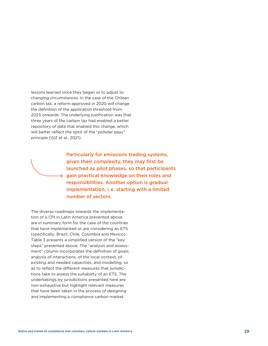lessons learned since they began or to adjust to changing circumstances. In the case of the Chilean carbon tax, a reform approved in 2020 will change the definition of the application threshold from 2023 onwards. The underlying justification was that three years of the carbon tax had enabled a better repository of data that enabled this change, which will better reflect the spirit of the "polluter pays" principle (GIZ et al., 2021).

> Particularly for emissions trading systems, given their complexity, they may first be launched as pilot phases, so that participants  $\rightarrow$  gain practical knowledge on their roles and responsibilities. Another option is gradual implementation, i. e. starting with a limited number of sectors.

The diverse roadmaps towards the implementation of a CPI in Latin America presented above are in summary form for the case of the countries that have implemented or are considering an ETS (specifically, Brazil, Chile, Colombia and Mexico). Table 3 presents a simplified version of the "key steps" presented above. The "analysis and assessment" column incorporates the definition of goals; analysis of interactions, of the local context, of existing and needed capacities; and modelling, so as to reflect the different measures that jurisdictions take to assess the suitability of an ETS. The undertakings by jurisdictions presented here are non-exhaustive but highlight relevant measures that have been taken in the process of designing and implementing a compliance carbon market.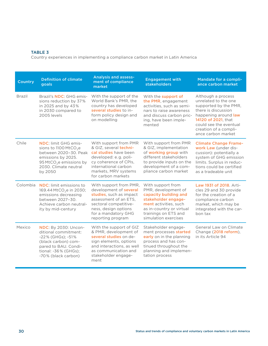#### TABLE 3

Country experiences in implementing a compliance carbon market in Latin America

| Country       | <b>Definition of climate</b><br>goals                                                                                                                                                      | <b>Analysis and assess-</b><br>ment of compliance<br>market                                                                                                                                       | <b>Engagement with</b><br><b>stakeholders</b>                                                                                                                                                 | Mandate for a compli-<br>ance carbon market                                                                                                                                                                        |
|---------------|--------------------------------------------------------------------------------------------------------------------------------------------------------------------------------------------|---------------------------------------------------------------------------------------------------------------------------------------------------------------------------------------------------|-----------------------------------------------------------------------------------------------------------------------------------------------------------------------------------------------|--------------------------------------------------------------------------------------------------------------------------------------------------------------------------------------------------------------------|
| <b>Brazil</b> | Brazil's <b>NDC</b> : GHG emis-<br>sions reduction by 37%<br>in 2025 and by 43%<br>in 2030 compared to<br>2005 levels                                                                      | With the support of the<br>World Bank's PMR, the<br>country has developed<br>several studies to in-<br>form policy design and<br>on modelling                                                     | With the support of<br>the PMR, engagement<br>activities, such as semi-<br>nars to raise awareness<br>and discuss carbon pric-<br>ing, have been imple-<br>mented                             | Although a process<br>unrelated to the one<br>supported by the PMR.<br>there is discussion<br>happening around law<br>14120 of 2021, that<br>could see the eventual<br>creation of a compli-<br>ance carbon market |
| Chile         | <b>NDC:</b> limit GHG emis-<br>sions to 1100 MtCO <sub>2</sub> e<br>between 2020-30. Peak<br>emissions by 2025.<br>95 MtCO <sub>2</sub> e emissions by<br>2030. Climate neutral<br>by 2050 | With support from PMR<br>& GIZ, several techni-<br>cal studies have been<br>developed: e.g. poli-<br>cy coherence of CPIs,<br>international carbon<br>markets, MRV systems<br>for carbon markets  | With support from PMR<br>& GIZ, implementation<br>of working group with<br>different stakeholders<br>to provide inputs on the<br>development of a com-<br>pliance carbon market               | <b>Climate Change Frame-</b><br>work Law (under dis-<br>cussion): potentially a<br>system of GHG emission<br>limits. Surplus in reduc-<br>tions could be certified<br>as a tradeable unit                          |
| Colombia      | NDC: limit emissions to<br>169.44 MtCO <sub>2</sub> e in 2030;<br>emissions decreasing<br>between 2027-30.<br>Achieve carbon neutral-<br>ity by mid-century                                | With support from PMR,<br>development of several<br>studies, such as impact<br>assessment of an ETS,<br>sectoral competitive-<br>ness, design options<br>for a mandatory GHG<br>reporting program | With support from<br>PMR, development of<br>capacity building and<br>stakeholder engage-<br>ment activities, such<br>as in-country or virtual<br>trainings on ETS and<br>simulation exercises | Law 1931 of 2018. Arti-<br>cles 29 and 30 provide<br>for the creation of a<br>compliance carbon<br>market, which may be<br>integrated with the car-<br>bon tax                                                     |
| Mexico        | <b>NDC:</b> By 2030: Uncon-<br>ditional commitment:<br>-22% (GHGs); -51%<br>(black carbon) com-<br>pared to BAU. Condi-<br>tional: -36% (GHGs);<br>-70% (black carbon)                     | With the support of GIZ<br>& PMR, development of<br>several studies on de-<br>sign elements, options<br>and interactions, as well<br>as communication and<br>stakeholder engage-<br>ment          | Stakeholder engage-<br>ment processes started<br>early on in the planning<br>process and has con-<br>tinued throughout the<br>planning and implemen-<br>tation process                        | General Law on Climate<br>Change (2018 reform),<br>in its Article 94                                                                                                                                               |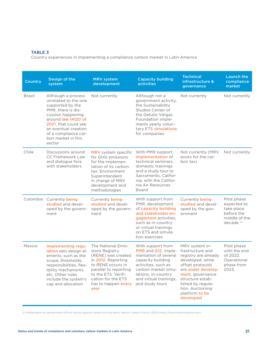#### TABLE 3

Country experiences in implementing a compliance carbon market in Latin America

| <b>Country</b> | Design of the<br>system                                                                                                                                                                                                                  | <b>MRV</b> system<br>development                                                                                                                                                                           | <b>Capacity building</b><br>activities                                                                                                                                                                  | <b>Technical</b><br>infrastructure &<br>governance                                                                                                                                                                                       | <b>Launch the</b><br>compliance<br>market                                                        |
|----------------|------------------------------------------------------------------------------------------------------------------------------------------------------------------------------------------------------------------------------------------|------------------------------------------------------------------------------------------------------------------------------------------------------------------------------------------------------------|---------------------------------------------------------------------------------------------------------------------------------------------------------------------------------------------------------|------------------------------------------------------------------------------------------------------------------------------------------------------------------------------------------------------------------------------------------|--------------------------------------------------------------------------------------------------|
| <b>Brazil</b>  | Although a process<br>unrelated to the one<br>supported by the<br>PMR, there is dis-<br>cussion happening<br>around law 14120 of<br>2021, that could see<br>an eventual creation<br>of a compliance car-<br>bon market in this<br>sector | Not currently                                                                                                                                                                                              | Although not a<br>government activity,<br>the Sustainability<br>Studies Center of<br>the Getulio Vargas<br>Foundation imple-<br>ments yearly volun-<br>tary ETS simulations<br>for companies            | Not currently                                                                                                                                                                                                                            | Not currently                                                                                    |
| Chile          | Discussions around<br><b>CC Framework Law</b><br>and dialogue fora<br>with stakeholders                                                                                                                                                  | MRV system specific<br>for GHG emissions<br>for the implemen-<br>tation of its carbon<br>tax. Environment<br>Superintendent<br>in charge of MRV<br>development and<br>methodologies                        | With PMR support,<br>implementation of<br>technical seminars,<br>domestic trainings<br>and a study tour to<br>Sacramento, Califor-<br>nia, with the Califor-<br>nia Air Resources<br>Board              | Not currently (MRV<br>exists for the car-<br>bon tax)                                                                                                                                                                                    | Not currently                                                                                    |
| Colombia       | Currently being<br>studied and devel-<br>oped by the govern-<br>ment                                                                                                                                                                     | Currently being<br>studied and devel-<br>oped by the govern-<br>ment                                                                                                                                       | With support from<br>PMR, development<br>of capacity building<br>and stakeholder en-<br>gagement activities,<br>such as in-country<br>or virtual trainings<br>on ETS and simula-<br>tion exercises      | Currently being<br>studied and devel-<br>oped by the gov-<br>ernment                                                                                                                                                                     | Pilot phase<br>expected to<br>take place<br>before the<br>middle of the<br>decade <sup>(i)</sup> |
| Mexico         | Implementing regu-<br>lation sets design el-<br>ements, such as the<br>scope, thresholds,<br>responsibilities, flex-<br>ibility mechanisms,<br>etc. Other rules<br>include the system's<br>cap and allocation                            | The National Emis-<br>sions Registry<br>(RENE) was created<br>in 2012. Reporting<br>to RENE occurs in<br>parallel to reporting<br>to the ETS. Verifi-<br>cation for the ETS<br>has to happen every<br>year | With support from<br>PMR and GIZ, imple-<br>mentation of several<br>capacity building<br>activities, such as<br>carbon market simu-<br>lations, in-country<br>and virtual trainings,<br>and study tours | MRV system in-<br>frastructure and<br>registry are already<br>developed, while<br>offset protocols<br>are under develop-<br>ment, governance<br>structure estab-<br>lished by regula-<br>tion. Auctioning<br>platform to be<br>developed | Pilot phase<br>until the end<br>of 2022.<br>Operational<br>phase from<br>2023.                   |

(i) Presentation by government official during regional carbon pricing panel, Mexico Carbon Forum (2021[\)](https://www.mexicocarbon.com/) <https://www.mexicocarbon.com/>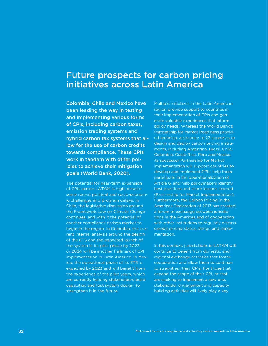### <span id="page-31-0"></span>Future prospects for carbon pricing initiatives across Latin America

Colombia, Chile and Mexico have been leading the way in testing and implementing various forms of CPIs, including carbon taxes, emission trading systems and hybrid carbon tax systems that allow for the use of carbon credits towards compliance. These CPIs work in tandem with other policies to achieve their mitigation goals (World Bank, 2020).

The potential for near-term expansion of CPIs across LATAM is high, despite some recent political and socio-economic challenges and program delays. In Chile, the legislative discussion around the Framework Law on Climate Change continues, and with it the potential of another compliance carbon market to begin in the region. In Colombia, the current internal analysis around the design of the ETS and the expected launch of the system in its pilot phase by 2023 or 2024 will be another hallmark of CPI implementation in Latin America. In Mexico, the operational phase of its ETS is expected by 2023 and will benefit from the experience of the pilot years, which are currently helping stakeholders build capacities and test system design, to strengthen it in the future.

Multiple initiatives in the Latin American region provide support to countries in their implementation of CPIs and generate valuable experiences that inform policy needs. Whereas the World Bank's Partnership for Market Readiness provided technical assistance to 23 countries to design and deploy carbon pricing instruments, including Argentina, Brazil, Chile, Colombia, Costa Rica, Peru and Mexico, its successor Partnership for Market Implementation will support countries to develop and implement CPIs, help them participate in the operationalization of Article 6, and help policymakers identify best practices and share lessons learned (Partnership for Market Implementation). Furthermore, the Carbon Pricing in the Americas Declaration of 2017 has created a forum of exchange between jurisdictions in the Americas and of cooperation with other institutions to regularly discuss carbon pricing status, design and implementation.

In this context, jurisdictions in LATAM will continue to benefit from domestic and regional exchange activities that foster cooperation and allow them to continue to strengthen their CPIs. For those that expand the scope of their CPI, or that are seeking to implement a new one, stakeholder engagement and capacity building activities will likely play a key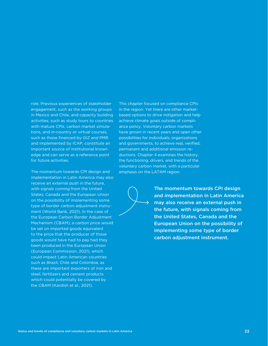role. Previous experiences of stakeholder engagement, such as the working groups in Mexico and Chile, and capacity building activities, such as study tours to countries with mature CPIs, carbon market simulations, and in-country or virtual courses, such as those financed by GIZ and PMR and implemented by ICAP, constitute an important source of institutional knowledge and can serve as a reference point for future activities.

The momentum towards CPI design and implementation in Latin America may also receive an external push in the future, with signals coming from the United States, Canada and the European Union on the possibility of implementing some type of border carbon adjustment instrument (World Bank, 2021). In the case of the European Carbon Border Adjustment Mechanism (CBAM), a carbon price would be set on imported goods equivalent to the price that the producer of those goods would have had to pay had they been produced in the European Union (European Commission, 2021), which could impact Latin American countries such as Brazil, Chile and Colombia, as these are important exporters of iron and steel, fertilizers and cement products which could potentially be covered by the CBAM (Kardish et al., 2021).

This chapter focused on compliance CPIs in the region. Yet there are other marketbased options to drive mitigation and help achieve climate goals outside of compliance policy. Voluntary carbon markets have grown in recent years and open other possibilities for individuals, organizations and governments, to achieve real, verified, permanent and additional emission reductions. Chapter 4 examines the history, the functioning, drivers, and trends of the voluntary carbon market, with a particular emphasis on the LATAM region.



The momentum towards CPI design and implementation in Latin America may also receive an external push in the future, with signals coming from the United States, Canada and the European Union on the possibility of implementing some type of border carbon adjustment instrument.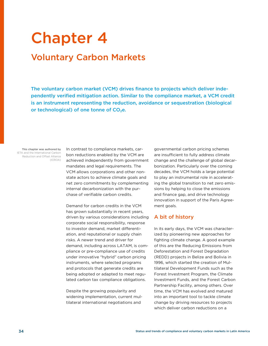## <span id="page-33-0"></span>Chapter 4

## Voluntary Carbon Markets

The voluntary carbon market (VCM) drives finance to projects which deliver independently verified mitigation action. Similar to the compliance market, a VCM credit is an instrument representing the reduction, avoidance or sequestration (biological or technological) of one tonne of  $CO<sub>2</sub>e$ .

This chapter was authored by IETA and the International Carbon Reduction and Offset Alliance (ICROA) In contrast to compliance markets, carbon reductions enabled by the VCM are achieved independently from government mandates and legal requirements. The VCM allows corporations and other nonstate actors to achieve climate goals and net zero commitments by complementing internal decarbonization with the purchase of verifiable carbon credits.

Demand for carbon credits in the VCM has grown substantially in recent years, driven by various considerations including corporate social responsibility, response to investor demand, market differentiation, and reputational or supply chain risks. A newer trend and driver for demand, including across LATAM, is compliance or pre-compliance use of credits under innovative "hybrid" carbon pricing instruments, where selected programs and protocols that generate credits are being adopted or adapted to meet regulated carbon tax compliance obligations.

Despite the growing popularity and widening implementation, current multilateral international negotiations and

governmental carbon pricing schemes are insufficient to fully address climate change and the challenge of global decarbonization. Particularly over the coming decades, the VCM holds a large potential to play an instrumental role in accelerating the global transition to net zero emissions by helping to close the emissions and finance gap, and drive technology innovation in support of the Paris Agreement goals.

#### A bit of history

In its early days, the VCM was characterized by pioneering new approaches for fighting climate change. A good example of this are the Reducing Emissions from Deforestation and Forest Degradation (REDD) projects in Belize and Bolivia in 1996, which started the creation of Multilateral Development Funds such as the Forest Investment Program, the Climate Investment Funds, and the Forest Carbon Partnership Facility, among others. Over time, the VCM has evolved and matured into an important tool to tackle climate change by driving resources to projects which deliver carbon reductions on a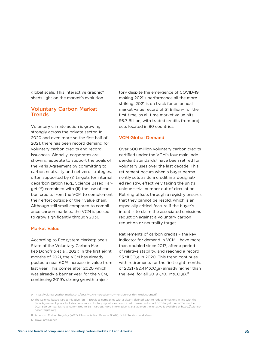global scale. This interactive graphic<sup>9</sup> sheds light on the market's evolution.

#### Voluntary Carbon Market **Trends**

Voluntary climate action is growing strongly across the private sector. In 2020 and even more so the first half of 2021, there has been record demand for voluntary carbon credits and record issuances. Globally, corporates are showing appetite to support the goals of the Paris Agreement by committing to carbon neutrality and net zero strategies, often supported by (i) targets for internal decarbonization (e.g., Science Based Targets<sup>10</sup>) combined with (ii) the use of carbon credits from the VCM to complement their effort outside of their value chain. Although still small compared to compliance carbon markets, the VCM is poised to grow significantly through 2030.

#### Market Value

According to Ecosystem Marketplace's State of the Voluntary Carbon Market(Donofrio et al., 2021) in the first eight months of 2021, the VCM has already posted a near 60% increase in value from last year. This comes after 2020 which was already a banner year for the VCM, continuing 2019's strong growth trajectory despite the emergence of COVID-19, making 2021's performance all the more striking. 2021 is on track for an annual market value record of \$1 Billion+ for the first time, as all-time market value hits \$6.7 Billion, with traded credits from projects located in 80 countries.

#### VCM Global Demand

Over 500 million voluntary carbon credits certified under the VCM's four main independent standards<sup>11</sup> have been retired for voluntary uses over the last decade. This retirement occurs when a buyer permanently sets aside a credit in a designated registry, effectively taking the unit's unique serial number out of circulation. Retiring offsets through a registry ensures that they cannot be resold, which is an especially critical feature if the buyer's intent is to claim the associated emissions reduction against a voluntary carbon reduction or neutrality target.

Retirements of carbon credits – the key indicator for demand in VCM – have more than doubled since 2017, after a period of relative stability, and reached a record 95 MtCO<sub>2</sub>e in 2020. This trend continues with retirements for the first eight months of 2021 (92.4 MtCO<sub>2</sub>e) already higher than the level for all 2019 (70.1 MtCO<sub>2</sub>e).<sup>12</sup>

<sup>9</sup> https://voluntarycarbonmarket.org/docs/VCM-Interactive-PDF-Version-1-With-Introduction.ndf

<sup>10</sup> The Science-based Target initiative (SBTi) provides companies with a clearly-defined path to reduce emissions in line with the Paris Agreement goals. Includes corporate voluntary signatories committed to meet individual SBTi targets. As of September 2021, 899 companies have committed to SBTi targets. More information is available on the initiative is available at [https://science](https://sciencebasedtargets.org)[basedtargets.org](https://sciencebasedtargets.org)

<sup>11</sup> American Carbon Registry (ACR), Climate Action Reserve (CAR), Gold Standard and Verra.

<sup>12</sup> Trove Intelligence.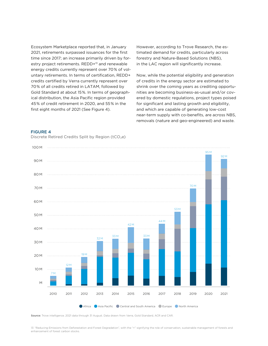Ecosystem Marketplace reported that, in January 2021, retirements surpassed issuances for the first time since 2017; an increase primarily driven by forestry project retirements. REDD+<sup>13</sup> and renewable energy credits currently represent over 70% of voluntary retirements. In terms of certification, REDD+ credits certified by Verra currently represent over 70% of all credits retired in LATAM, followed by Gold Standard at about 15%. In terms of geographical distribution, the Asia Pacific region provided 45% of credit retirement in 2020, and 55% in the first eight months of 2021 (See Figure 4).

However, according to Trove Research, the estimated demand for credits, particularly across forestry and Nature-Based Solutions (NBS), in the LAC region will significantly increase.

Now, while the potential eligibility and generation of credits in the energy sector are estimated to shrink over the coming years as crediting opportunities are becoming business-as-usual and/or covered by domestic regulations, project types poised for significant and lasting growth and eligibility, and which are capable of generating low-cost near-term supply with co-benefits, are across NBS, removals (nature and geo-engineered) and waste.

#### FIGURE 4

Discrete Retired Credits Split by Region (tCO<sub>2</sub>e)



Source: Trove intelligence. 2021 data through 31 August. Data drawn from Verra, Gold Standard, ACR and CAR.

13 "Reducing Emissions from Deforestation and Forest Degradation", with the "+" signifying the role of conservation, sustainable management of forests and enhancement of forest carbon stocks.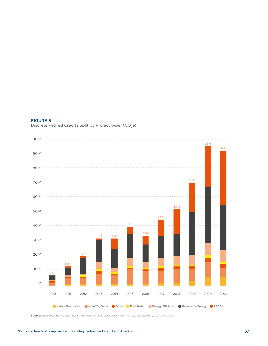#### FIGURE 5

Discrete Retired Credits Split by Project type (tCO<sub>2</sub>e)



Source: Trove intelligence. 2021 data through 31 August. Data drawn from Verra, Gold Standard, ACR and CAR.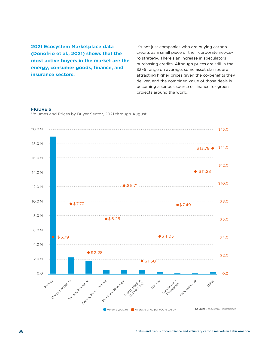**2021 Ecosystem Marketplace data (Donofrio et al., 2021) shows that the most active buyers in the market are the energy, consumer goods, finance, and insurance sectors.**

It's not just companies who are buying carbon credits as a small piece of their corporate net-zero strategy. There's an increase in speculators purchasing credits. Although prices are still in the \$3–5 range on average, some asset classes are attracting higher prices given the co-benefits they deliver, and the combined value of those deals is becoming a serious source of finance for green projects around the world.

#### FIGURE 6

Volumes and Prices by Buyer Sector, 2021 through August

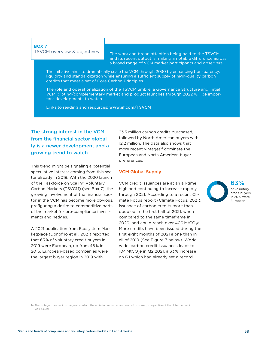#### BOX 7 TSVCM overview & objectives

The work and broad attention being paid to the TSVCM and its recent output is making a notable difference across a broad range of VCM market participants and observers.

The initiative aims to dramatically scale the VCM through 2030 by enhancing transparency, liquidity and standardization while ensuring a sufficient supply of high-quality carbon credits that meet a set of Core Carbon Principles.

The role and operationalization of the TSVCM umbrella Governance Structure and initial VCM piloting/complementary market and product launches through 2022 will be important developments to watch.

Links to reading and resources: <www.iif.com/TSVCM>

# The strong interest in the VCM from the financial sector globally is a newer development and a growing trend to watch.

This trend might be signaling a potential speculative interest coming from this sector already in 2019. With the 2020 launch of the Taskforce on Scaling Voluntary Carbon Markets (TSVCM) (see Box 7), the growing involvement of the financial sector in the VCM has become more obvious, prefiguring a desire to commoditize parts of the market for pre-compliance investments and hedges.

A 2021 publication from Ecosystem Marketplace (Donofrio et al., 2021) reported that 63% of voluntary credit buyers in 2019 were European, up from 48% in 2016. European-based companies were the largest buyer region in 2019 with

23.5 million carbon credits purchased, followed by North American buyers with 12.2 million. The data also shows that more recent vintages<sup>14</sup> dominate the European and North American buyer preferences.

#### VCM Global Supply

VCM credit issuances are at an all-time high and continuing to increase rapidly through 2021. According to a recent Climate Focus report (Climate Focus, 2021), issuance of carbon credits more than doubled in the first half of 2021, when compared to the same timeframe in 2020, and could reach over  $400$  MtCO<sub>2</sub>e. More credits have been issued during the first eight months of 2021 alone than in all of 2019 (See Figure 7 below). Worldwide, carbon credit issuances leapt to 104 MtCO<sub>2</sub>e in Q2 2021, a 33% increase on Q1 which had already set a record.



<sup>14</sup> The vintage of a credit is the year in which the emission reduction or removal occurred, irrespective of the date the credit was issued.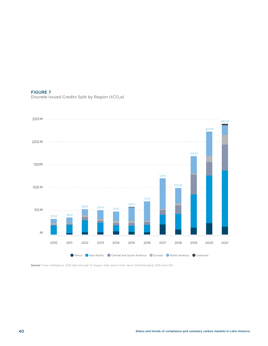#### FIGURE 7

Discrete Issued Credits Split by Region ( $tCO<sub>2</sub>e$ )



Source: Trove intelligence. 2021 data through 31 August. Data drawn from Verra, Gold Standard, ACR and CAR.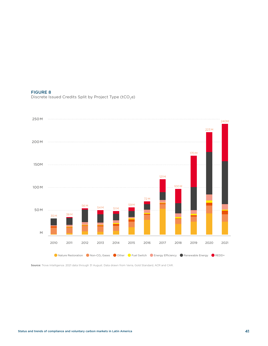#### FIGURE 8

Discrete Issued Credits Split by Project Type ( $tCO<sub>2</sub>e$ )



Source: Trove Intelligence. 2021 data through 31 August. Data drawn from Verra, Gold Standard, ACR and CAR.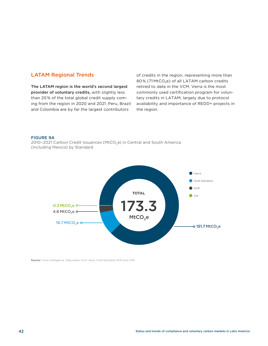## LATAM Regional Trends

The LATAM region is the world's second largest provider of voluntary credits, with slightly less than 20 % of the total global credit supply coming from the region in 2020 and 2021. Peru, Brazil and Colombia are by far the largest contributors

of credits in the region, representing more than 80% (71 MtCO<sub>2</sub>e) of all LATAM carbon credits retired to date in the VCM. Verra is the most commonly used certification program for voluntary credits in LATAM, largely due to protocol availability and importance of REDD+ projects in the region.

#### FIGURE 9A

2010-2021 Carbon Credit Issuances (MtCO<sub>2</sub>e) in Central and South America (Including Mexico) by Standard



Source: Trove Intelligence. Data drawn from Verra, Gold Standard, ACR and CAR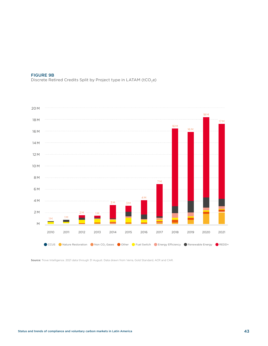

Discrete Retired Credits Split by Project type in LATAM ( $tCO<sub>2</sub>e$ )



Source: Trove Intelligence. 2021 data through 31 August. Data drawn from Verra, Gold Standard, ACR and CAR.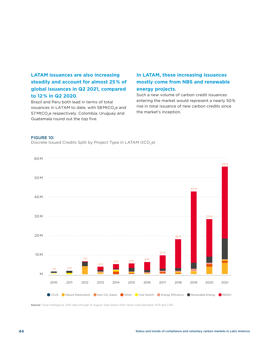# **LATAM issuances are also increasing steadily and account for almost 25 % of global issuances in Q2 2021, compared to 12 % in Q2 2020**.

Brazil and Peru both lead in terms of total issuances in LATAM to date, with 58 MtCO<sub>2</sub>e and 57 MtCO<sub>2</sub>e respectively. Colombia, Uruguay and Guatemala round out the top five.

# **In LATAM, these increasing issuances mostly come from NBS and renewable energy projects**.

Such a new volume of carbon credit issuances entering the market would represent a nearly 50% rise in total issuance of new carbon credits since the market's inception.

#### FIGURE 10:

Discrete Issued Credits Split by Project Type in LATAM (tCO<sub>2</sub>e)



Source: Trove Intelligence. 2021 data through 31 August. Data drawn from Verra, Gold Standard, ACR and CAR.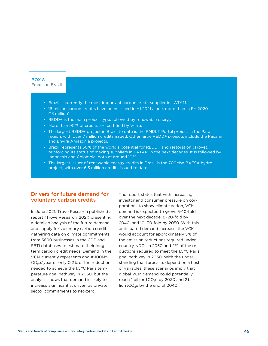#### BOX 8 Focus on Brazil

- Brazil is currently the most important carbon credit supplier in LATAM.
- 16 million carbon credits have been issued in H1 2021 alone, more than in FY 2020 (13 million).
- REDD+ is the main project type, followed by renewable energy.
- More than 90% of credits are certified by Verra.
- The largest REDD+ project in Brazil to date is the RMDLT Portel project in the Para region, with over 7 million credits issued. Other large REDD+ projects include the Pacajai and Envira Amazonia projects.
- Brazil represents 50% of the world's potential for REDD+ and restoration (Trove), reinforcing its status of making suppliers in LATAM in the next decades. It is followed by Indonesia and Colombia, both at around 10%.
- The largest issuer of renewable energy credits in Brazil is the 700MW BAESA hydro project, with over 6.5 million credits issued to date.

#### Drivers for future demand for voluntary carbon credits

In June 2021, Trove Research published a report (Trove Research, 2021) presenting a detailed analysis of the future demand and supply for voluntary carbon credits, gathering data on climate commitments from 5600 businesses in the CDP and SBTi databases to estimate their longterm carbon credit needs. Demand in the VCM currently represents about 100Mt- $CO<sub>2</sub>e/year$  or only 0.2% of the reductions needed to achieve the 1.5°C Paris temperature goal pathway in 2030, but the analysis shows that demand is likely to increase significantly, driven by private sector commitments to net-zero.

The report states that with increasing investor and consumer pressure on corporations to show climate action, VCM demand is expected to grow: 5–10-fold over the next decade; 8–20-fold by 2040; and 10–30-fold by 2050. With this anticipated demand increase, the VCM would account for approximately 5% of the emission reductions required under country NDCs in 2030 and 2% of the reductions required to meet the 1.5°C Paris goal pathway in 2030. With the understanding that forecasts depend on a host of variables, these scenarios imply that global VCM demand could potentially reach 1 billion tCO<sub>2</sub>e by 2030 and 2 billion tCO<sub>2</sub>e by the end of 2040.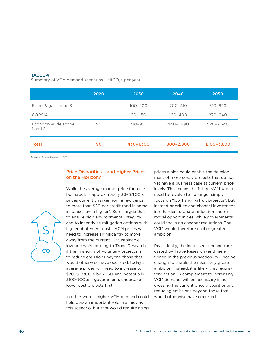#### TABLE 4

Summary of VCM demand scenarios - MtCO<sub>2</sub>e per year

|                                   | 2020                     | 2030        | 2040        | 2050            |
|-----------------------------------|--------------------------|-------------|-------------|-----------------|
| EU oil & gas scope 3              | $\overline{\phantom{0}}$ | $100 - 200$ | $200 - 410$ | $310 - 620$     |
| <b>CORSIA</b>                     | -                        | $60 - 150$  | $160 - 400$ | $270 - 640$     |
| Economy-wide scope<br>$1$ and $2$ | 90                       | $270 - 950$ | 440-1,990   | $520 - 2,340$   |
| <b>Total</b>                      | 90                       | 430-1,300   | 800-2,800   | $1,100 - 3,600$ |

Source: Trove Research, 2021

#### Price Disparities – and Higher Prices on the Horizon?



While the average market price for a carbon credit is approximately  $$3-5/tCO<sub>2</sub>e$ , prices currently range from a few cents to more than \$20 per credit (and in some instances even higher). Some argue that to ensure high environmental integrity and to incentivize mitigation options with higher abatement costs, VCM prices will need to increase significantly to move away from the current "unsustainable" low prices. According to Trove Research, if the financing of voluntary projects is to reduce emissions beyond those that would otherwise have occurred, today's average prices will need to increase to  $$20-50/tCO<sub>2</sub>e$  by 2030, and potentially  $$100/tCO<sub>2</sub>e$  if governments undertake lower cost projects first.

In other words, higher VCM demand could help play an important role in achieving this scenario, but that would require rising prices which could enable the development of more costly projects that do not yet have a business case at current price levels. This means the future VCM would need to revolve to no longer simply focus on "low hanging fruit projects", but instead prioritize and channel investment into harder-to-abate reduction and removal opportunities, while governments could focus on cheaper reductions. The VCM would therefore enable greater ambition.

Realistically, the increased demand forecasted by Trove Research (and mentioned in the previous section) will not be enough to enable the necessary greater ambition. Instead, it is likely that regulatory action, in complement to increasing VCM demand, will be necessary in addressing the current price disparities and reducing emissions beyond those that would otherwise have occurred.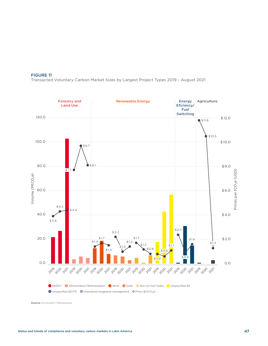#### FIGURE 11

Transacted Voluntary Carbon Market Sizes by Largest Project Types 2019 – August 2021



Source: Ecosystem Marketplace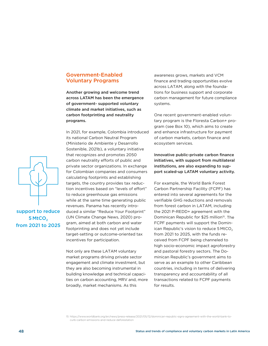#### Government-Enabled Voluntary Programs

Another growing and welcome trend across LATAM has been the emergence of government- supported voluntary climate and market initiatives, such as carbon footprinting and neutrality programs.

In 2021, for example, Colombia introduced its national Carbon Neutral Program (Ministerio de Ambiente y Desarrollo Sostenible, 2021b), a voluntary initiative that recognizes and promotes 2050 carbon neutrality efforts of public and private sector organizations. In exchange for Colombian companies and consumers calculating footprints and establishing targets, the country provides tax reduction incentives based on "levels of effort" to reduce greenhouse gas emissions while at the same time generating public revenues. Panama has recently introduced a similar "Reduce Your Footprint" (UN Climate Change News, 2020) program, aimed at both carbon and water footprinting and does not yet include target-setting or outcome-oriented tax incentives for participation.

Not only are these LATAM voluntary market programs driving private sector engagement and climate investment, but they are also becoming instrumental in building knowledge and technical capacities on carbon accounting, MRV and, more broadly, market mechanisms. As this

awareness grows, markets and VCM finance and trading opportunities evolve across LATAM, along with the foundations for business support and corporate carbon management for future compliance systems.

One recent government-enabled voluntary program is the Floresta Carbon+ program (see Box 10), which aims to create and enhance infrastructure for payment of carbon markets, carbon finance and ecosystem services.

Innovative public-private carbon finance initiatives, with support from multilateral institutions, are also expanding to support scaled-up LATAM voluntary activity.

For example, the World Bank Forest Carbon Partnership Facility (FCPF) has entered into several agreements for the verifiable GHG reductions and removals from forest carbon in LATAM, including the 2021 P-REDD+ agreement with the Dominican Republic for \$25 million<sup>15</sup>. The FCPF payments will support the Dominican Republic's vision to reduce  $5$  MtCO<sub>2</sub> from 2021 to 2025, with the funds received from FCPF being channeled to high socio-economic impact agroforestry and pastoral forestry sectors. The Dominican Republic's government aims to serve as an example to other Caribbean countries, including in terms of delivering transparency and accountability of all transactions related to FCPF payments for results.





support to reduce 5 MtCO<sub>2</sub> from 2021 to 2025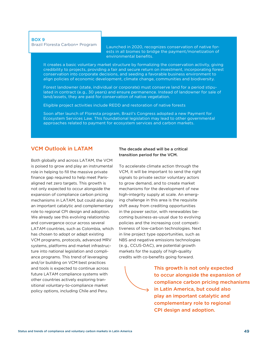#### BOX 9 Brazil Floresta Carbon+ Program

Launched in 2020, recognizes conservation of native forests in all biomes to bridge the payment/monetization of environmental benefits.

It creates a basic voluntary market structure by formalizing the conservation activity, giving credibility to projects, providing a fair and secure return on investment, incorporating forest conservation into corporate decisions, and seeding a favorable business environment to align policies of economic development, climate change, communities and biodiversity.

Forest landowner (state, individual or corporate) must conserve land for a period stipulated in contract (e.g., 30 years) and ensure permanence. Instead of landowner for sale of land/assets, they are paid for conservation of native vegetation.

Eligible project activities include REDD and restoration of native forests

Soon after launch of Floresta program, Brazil's Congress adopted a new Payment for Ecosystem Services Law. This foundational legislation may lead to other governmental approaches related to payment for ecosystem services and carbon markets.

### VCM Outlook in LATAM

Both globally and across LATAM, the VCM is poised to grow and play an instrumental role in helping to fill the massive private finance gap required to help meet Parisaligned net zero targets. This growth is not only expected to occur alongside the expansion of compliance carbon pricing mechanisms in LATAM, but could also play an important catalytic and complementary role to regional CPI design and adoption. We already see this evolving relationship and convergence occur across several LATAM countries, such as Colombia, which has chosen to adopt or adapt existing VCM programs, protocols, advanced MRV systems, platforms and market infrastructure into national legislation and compliance programs. This trend of leveraging and/or building on VCM best practices and tools is expected to continue across future LATAM compliance systems with other countries actively exploring transitional voluntary-to-compliance market policy options, including Chile and Peru.

#### The decade ahead will be a critical transition period for the VCM.

To accelerate climate action through the VCM, it will be important to send the right signals to private sector voluntary actors to grow demand, and to create market mechanisms for the development of new high-integrity supply at scale. An emerging challenge in this area is the requisite shift away from crediting opportunities in the power sector, with renewables becoming business-as-usual due to evolving policies and the increasing cost competitiveness of low-carbon technologies. Next in line project type opportunities, such as NBS and negative emissions technologies (e.g., CCUS-DAC), are potential growth markets for the supply of high-quality credits with co-benefits going forward.

This growth is not only expected to occur alongside the expansion of compliance carbon pricing mechanisms in Latin America, but could also play an important catalytic and complementary role to regional CPI design and adoption.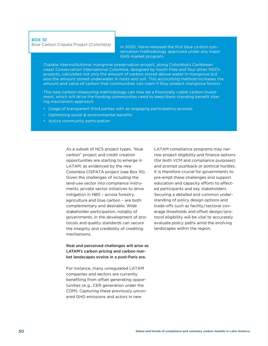#### BOX 10

Blue Carbon Cispata Project (Colombia)

In 2020, Verra released the first blue carbon conservation methodology approved under any major GHG market program.

Cispata interinstitutional mangrove preservation project, along Colombia's Caribbean coast Conservation International Colombia, designed by South Pole and four other NGOs projects, calculates not only the amount of carbon stored above-water in mangrove but also the amount stored underwater in roots and soil. This accounting method increases the amount and value of carbon that communities can claim if they protect mangrove forests.

This new carbon-measuring methodology can now be a financially viable carbon investment, which will drive the funding communities need to keep them standing benefit sharing mechanism approach:

- Usage of transparent third parties with an engaging participatory process
- Optimizing social & environmental benefits
- Active community participation

As a subset of NCS project types, "blue carbon" project and credit creation opportunities are starting to emerge in LATAM, as evidenced by the new Colombia CISPATA project (see Box 10). Given the challenges of including the land-use sector into compliance instruments, private sector initiatives to drive mitigation in NBS – across forestry, agriculture and blue carbon – are both complementary and desirable. Wide stakeholder participation, notably of governments, in the development of protocols and quality standards can secure the integrity and credibility of crediting mechanisms.

Real and perceived challenges will arise as LATAM's carbon pricing and carbon market landscapes evolve in a post-Paris era.

For instance, many unregulated LATAM companies and sectors are currently benefiting from offset generating opportunities (e.g., CER generation under the CDM). Capturing these previously uncovered GHG emissions and actors in new

LATAM compliance programs may narrow project eligibility and finance options (for both VCM and compliance purposes) and prompt pushback or political hurdles. It is therefore crucial for governments to pre-empt these challenges and support education and capacity efforts to affected participants and key stakeholders. Securing a detailed and common understanding of policy design options and trade-offs such as facility/sectoral coverage thresholds and offset design/protocol eligibility will be vital to accurately evaluate policy paths amid the evolving landscapes within the region.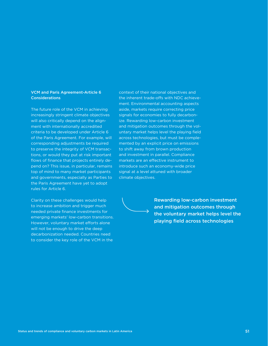#### VCM and Paris Agreement-Article 6 Considerations

The future role of the VCM in achieving increasingly stringent climate objectives will also critically depend on the alignment with internationally accredited criteria to be developed under Article 6 of the Paris Agreement. For example, will corresponding adjustments be required to preserve the integrity of VCM transactions, or would they put at risk important flows of finance that projects entirely depend on? This issue, in particular, remains top of mind to many market participants and governments, especially as Parties to the Paris Agreement have yet to adopt rules for Article 6.

Clarity on these challenges would help to increase ambition and trigger much needed private finance investments for emerging markets' low-carbon transitions. However, voluntary market efforts alone will not be enough to drive the deep decarbonization needed. Countries need to consider the key role of the VCM in the

context of their national objectives and the inherent trade-offs with NDC achievement. Environmental accounting aspects aside, markets require correcting price signals for economies to fully decarbonize. Rewarding low-carbon investment and mitigation outcomes through the voluntary market helps level the playing field across technologies, but must be complemented by an explicit price on emissions to shift away from brown production and investment in parallel. Compliance markets are an effective instrument to introduce such an economy-wide price signal at a level attuned with broader climate objectives.



Rewarding low-carbon investment and mitigation outcomes through the voluntary market helps level the playing field across technologies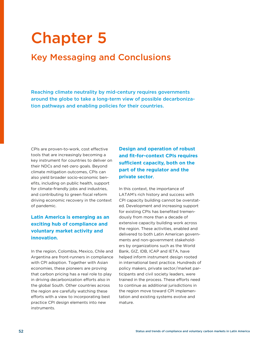# Chapter 5

# Key Messaging and Conclusions

Reaching climate neutrality by mid-century requires governments around the globe to take a long-term view of possible decarbonization pathways and enabling policies for their countries.

CPIs are proven-to-work, cost effective tools that are increasingly becoming a key instrument for countries to deliver on their NDCs and net-zero goals. Beyond climate mitigation outcomes, CPIs can also yield broader socio-economic benefits, including on public health, support for climate-friendly jobs and industries, and contributing to green fiscal reform driving economic recovery in the context of pandemic.

# **Latin America is emerging as an exciting hub of compliance and voluntary market activity and innovation**.

In the region, Colombia, Mexico, Chile and Argentina are front-runners in compliance with CPI adoption. Together with Asian economies, these pioneers are proving that carbon pricing has a real role to play in driving decarbonization efforts also in the global South. Other countries across the region are carefully watching these efforts with a view to incorporating best practice CPI design elements into new instruments.

**Design and operation of robust and fit-for-context CPIs requires sufficient capacity, both on the part of the regulator and the private sector**.

In this context, the importance of LATAM's rich history and success with CPI capacity building cannot be overstated. Development and increasing support for existing CPIs has benefited tremendously from more than a decade of extensive capacity building work across the region. These activities, enabled and delivered to both Latin American governments and non-government stakeholders by organizations such as the World Bank, GIZ, IDB, ICAP and IETA, have helped inform instrument design rooted in international best practice. Hundreds of policy makers, private sector/market participants and civil society leaders, were trained in the process. These efforts need to continue as additional jurisdictions in the region move toward CPI implementation and existing systems evolve and mature.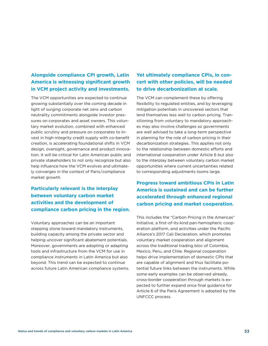# **Alongside compliance CPI growth, Latin America is witnessing significant growth in VCM project activity and investments.**

The VCM opportunities are expected to continue growing substantially over the coming decade in light of surging corporate net zero and carbon neutrality commitments alongside investor pressures on corporates and asset owners. This voluntary market evolution, combined with enhanced public scrutiny and pressure on corporates to invest in high-integrity credit supply with co-benefit creation, is accelerating foundational shifts in VCM design, oversight, governance and product innovation. It will be critical for Latin American public and private stakeholders to not only recognize but also help influence how the VCM evolves and ultimately converges in the context of Paris/compliance market growth.

# **Particularly relevant is the interplay between voluntary carbon market activities and the development of compliance carbon pricing in the region**.

Voluntary approaches can be an important stepping stone toward mandatory instruments, building capacity among the private sector and helping uncover significant abatement potentials. Moreover, governments are adopting or adapting tools and infrastructure from the VCM for use in compliance instruments in Latin America but also beyond. This trend can be expected to continue across future Latin American compliance systems.

# **Yet ultimately compliance CPIs, in concert with other policies, will be needed to drive decarbonization at scale**.

The VCM can complement these by offering flexibility to regulated entities, and by leveraging mitigation potentials in uncovered sectors that lend themselves less well to carbon pricing. Transitioning from voluntary to mandatory approaches may also involve challenges so governments are well advised to take a long-term perspective in planning for the role of carbon pricing in their decarbonization strategies. This applies not only to the relationship between domestic efforts and international cooperation under Article 6 but also to the interplay between voluntary carbon market opportunities where current uncertainties related to corresponding adjustments looms large.

**Progress toward ambitious CPIs in Latin America is sustained and can be further accelerated through enhanced regional carbon pricing and market cooperation**.

This includes the "Carbon Pricing in the Americas" Initiative, a first-of-its-kind pan-hemispheric cooperation platform, and activities under the Pacific Alliance's 2017 Cali Declaration, which promotes voluntary market cooperation and alignment across the traditional trading bloc of Colombia, Mexico, Peru, and Chile. Regional cooperation helps drive implementation of domestic CPIs that are capable of alignment and thus facilitate potential future links between the instruments. While some early examples can be observed already, cross-border cooperation through markets is expected to further expand once final guidance for Article 6 of the Paris Agreement is adopted by the UNFCCC process.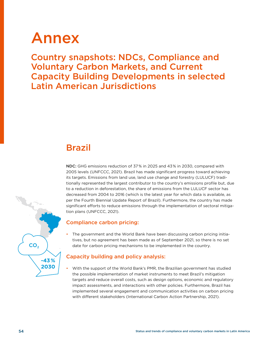# Annex

Country snapshots: NDCs, Compliance and Voluntary Carbon Markets, and Current Capacity Building Developments in selected Latin American Jurisdictions

# Brazil

NDC: GHG emissions reduction of 37% in 2025 and 43% in 2030, compared with 2005 levels (UNFCCC, 2021). Brazil has made significant progress toward achieving its targets. Emissions from land use, land use change and forestry (LULUCF) traditionally represented the largest contributor to the country's emissions profile but, due to a reduction in deforestation, the share of emissions from the LULUCF sector has decreased from 2004 to 2016 (which is the latest year for which data is available, as per the Fourth Biennial Update Report of Brazil). Furthermore, the country has made significant efforts to reduce emissions through the implementation of sectoral mitigation plans (UNFCCC, 2021).

# Compliance carbon pricing:

• The government and the World Bank have been discussing carbon pricing initiatives, but no agreement has been made as of September 2021, so there is no set date for carbon pricing mechanisms to be implemented in the country.

# Capacity building and policy analysis:

• With the support of the World Bank's PMR, the Brazilian government has studied the possible implementation of market instruments to meet Brazil's mitigation targets and reduce overall costs, such as design options, economic and regulatory impact assessments, and interactions with other policies. Furthermore, Brazil has implemented several engagement and communication activities on carbon pricing with different stakeholders (International Carbon Action Partnership, 2021).

CO<sub>2</sub>

**-43 % 2030**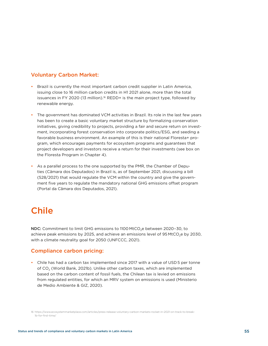## Voluntary Carbon Market:

- Brazil is currently the most important carbon credit supplier in Latin America, issuing close to 16 million carbon credits in H1 2021 alone, more than the total issuances in FY 2020 (13 million).<sup>16</sup> REDD+ is the main project type, followed by renewable energy.
- The government has dominated VCM activities in Brazil. Its role in the last few years has been to create a basic voluntary market structure by formalizing conservation initiatives, giving credibility to projects, providing a fair and secure return on investment, incorporating forest conservation into corporate politics/ESG, and seeding a favorable business environment. An example of this is their national Floresta+ program, which encourages payments for ecosystem programs and guarantees that project developers and investors receive a return for their investments (see box on the Floresta Program in Chapter 4).
- As a parallel process to the one supported by the PMR, the Chamber of Deputies (Câmara dos Deputados) in Brazil is, as of September 2021, discussing a bill (528/2021) that would regulate the VCM within the country and give the government five years to regulate the mandatory national GHG emissions offset program (Portal da Câmara dos Deputados, 2021).

# Chile

NDC: Commitment to limit GHG emissions to 1100 MtCO<sub>2</sub>e between 2020-30, to achieve peak emissions by 2025, and achieve an emissions level of 95 MtCO<sub>2</sub>e by 2030, with a climate neutrality goal for 2050 (UNFCCC, 2021).

### Compliance carbon pricing:

• Chile has had a carbon tax implemented since 2017 with a value of USD 5 per tonne of CO<sub>2</sub> (World Bank, 2021b). Unlike other carbon taxes, which are implemented based on the carbon content of fossil fuels, the Chilean tax is levied on emissions from regulated entities, for which an MRV system on emissions is used (Ministerio de Medio Ambiente & GIZ, 2020).

<sup>16</sup> [https://www.ecosystemmarketplace.com/articles/press-release-voluntary-carbon-markets-rocket-in-2021-on-track-to-break-](https://www.ecosystemmarketplace.com/articles/press-release-voluntary-carbon-markets-rocket-in-2021-on-track-to-break-1b-for-first-time/)[1b-for-first-time/](https://www.ecosystemmarketplace.com/articles/press-release-voluntary-carbon-markets-rocket-in-2021-on-track-to-break-1b-for-first-time/)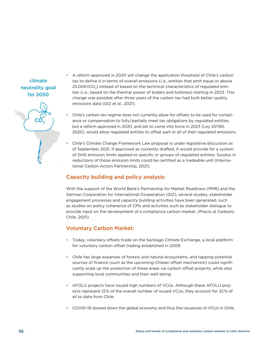# climate neutrality goal for 2050

**CC** 

- A reform approved in 2020 will change the application threshold of Chile's carbon tax to define it in terms of overall emissions (i.e., entities that emit equal or above  $25,000$  tCO<sub>2</sub>) instead of based on the technical characteristics of regulated entities (i.e., based on the thermal power of boilers and turbines) starting in 2023. This change was possible after three years of the carbon tax had built better quality emissions data (GIZ et al., 2021).
- Chile's carbon tax regime does not currently allow for offsets to be used for compliance or compensation to fully/partially meet tax obligations by regulated entities, but a reform approved in 2020, and set to come into force in 2023 (Ley 20780, 2020), would allow regulated entities to offset part or all of their regulated emissions.
- Chile's Climate Change Framework Law proposal is under legislative discussion as of September 2021. If approved as currently drafted, it would provide for a system of GHG emission limits applied to specific or groups of regulated entities. Surplus in reductions of those emission limits could be certified as a tradeable unit (International Carbon Action Partnership, 2021).

# Capacity building and policy analysis:

With the support of the World Bank's Partnership for Market Readiness (PMR) and the German Corporation for International Cooperation (GIZ), several studies, stakeholder engagement processes and capacity building activities have been generated, such as studies on policy coherence of CPIs and activities such as stakeholder dialogue to provide input on the development of a compliance carbon market. (Precio al Carbono Chile, 2021).

# Voluntary Carbon Market:

- Today, voluntary offsets trade on the Santiago Climate Exchange, a local platform for voluntary carbon offset trading established in 2009.
- Chile has large expanses of forests and natural ecosystems, and tapping potential sources of finance (such as the upcoming Chilean offset mechanism) could significantly scale up the protection of these areas via carbon offset projects, while also supporting local communities and their well-being.
- AFOLU projects have issued high numbers of VCUs. Although these AFOLU projects represent 12% of the overall number of issued VCUs, they account for 32% of all to date from Chile.
- COVID-19 slowed down the global economy and thus the issuances of VCUs in Chile.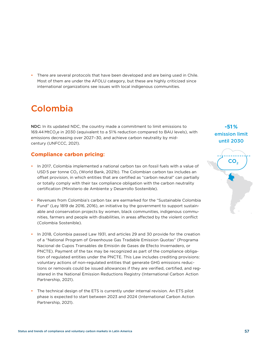• There are several protocols that have been developed and are being used in Chile. Most of them are under the AFOLU category, but these are highly criticized since international organizations see issues with local indigenous communities.

# Colombia

NDC: In its updated NDC, the country made a commitment to limit emissions to 169.44 MtCO<sub>2</sub>e in 2030 (equivalent to a 51% reduction compared to BAU levels), with emissions decreasing over 2027–30, and achieve carbon neutrality by midcentury (UNFCCC, 2021).

# **Compliance carbon pricing**:

- In 2017, Colombia implemented a national carbon tax on fossil fuels with a value of USD 5 per tonne CO<sub>2</sub> (World Bank, 2021b). The Colombian carbon tax includes an offset provision, in which entities that are certified as "carbon neutral" can partially or totally comply with their tax compliance obligation with the carbon neutrality certification (Ministerio de Ambiente y Desarrollo Sostenible).
- Revenues from Colombia's carbon tax are earmarked for the "Sustainable Colombia Fund" (Ley 1819 de 2016, 2016), an initiative by the government to support sustainable and conservation projects by women, black communities, indigenous communities, farmers and people with disabilities, in areas affected by the violent conflict (Colombia Sostenible).
- In 2018, Colombia passed Law 1931, and articles 29 and 30 provide for the creation of a "National Program of Greenhouse Gas Tradable Emission Quotas" (Programa Nacional de Cupos Transables de Emisión de Gases de Efecto Invernadero, or PNCTE). Payment of the tax may be recognized as part of the compliance obligation of regulated entities under the PNCTE. This Law includes crediting provisions: voluntary actions of non-regulated entities that generate GHG emissions reductions or removals could be issued allowances if they are verified, certified, and registered in the National Emission Reductions Registry (International Carbon Action Partnership, 2021).
- The technical design of the ETS is currently under internal revision. An ETS pilot phase is expected to start between 2023 and 2024 (International Carbon Action Partnership, 2021).

# **-51 %** emission limit until 2030

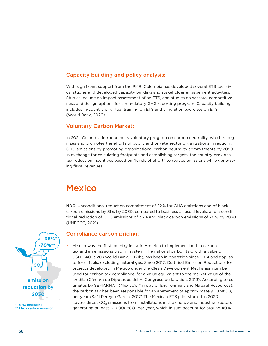# Capacity building and policy analysis:

With significant support from the PMR, Colombia has developed several ETS technical studies and developed capacity building and stakeholder engagement activities. Studies include an impact assessment of an ETS, and studies on sectoral competitiveness and design options for a mandatory GHG reporting program. Capacity building includes in-country or virtual training on ETS and simulation exercises on ETS (World Bank, 2020).

### Voluntary Carbon Market:

In 2021, Colombia introduced its voluntary program on carbon neutrality, which recognizes and promotes the efforts of public and private sector organizations in reducing GHG emissions by promoting organizational carbon neutrality commitments by 2050. In exchange for calculating footprints and establishing targets, the country provides tax reduction incentives based on "levels of effort" to reduce emissions while generating fiscal revenues.

# **Mexico**

NDC: Unconditional reduction commitment of 22% for GHG emissions and of black carbon emissions by 51% by 2030, compared to business as usual levels, and a conditional reduction of GHG emissions of 36% and black carbon emissions of 70% by 2030 (UNFCCC, 2021).

### Compliance carbon pricing:

• Mexico was the first country in Latin America to implement both a carbon tax and an emissions trading system. The national carbon tax, with a value of USD 0.40–3.20 (World Bank, 2021b), has been in operation since 2014 and applies to fossil fuels, excluding natural gas. Since 2017, Certified Emission Reductions for projects developed in Mexico under the Clean Development Mechanism can be used for carbon tax compliance, for a value equivalent to the market value of the credits (Cámara de Diputados del H. Congreso de la Unión, 2019). According to estimates by SEMARNAT (Mexico's Ministry of Environment and Natural Resources), the carbon tax has been responsible for an abatement of approximately  $1.8$  MtCO<sub>2</sub> per year (Saúl Pereyra García, 2017).The Mexican ETS pilot started in 2020. It covers direct  $CO<sub>2</sub>$  emissions from installations in the energy and industrial sectors generating at least 100,000 tCO<sub>2</sub> per year, which in sum account for around 40%



emission reduction by 2030

**GHG emissions** \*\* black carbon emission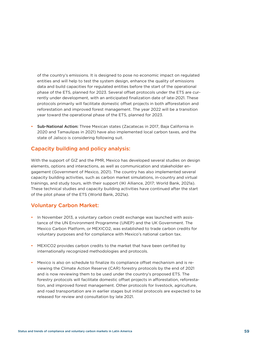of the country's emissions. It is designed to pose no economic impact on regulated entities and will help to test the system design, enhance the quality of emissions data and build capacities for regulated entities before the start of the operational phase of the ETS, planned for 2023. Several offset protocols under the ETS are currently under development, with an anticipated finalization date of late-2021. These protocols primarily will facilitate domestic offset projects in both afforestation and reforestation and improved forest management. The year 2022 will be a transition year toward the operational phase of the ETS, planned for 2023.

• Sub-National Action: Three Mexican states (Zacatecas in 2017, Baja California in 2020 and Tamaulipas in 2021) have also implemented local carbon taxes, and the state of Jalisco is considering following suit.

# Capacity building and policy analysis:

With the support of GIZ and the PMR, Mexico has developed several studies on design elements, options and interactions, as well as communication and stakeholder engagement (Government of Mexico, 2021). The country has also implemented several capacity building activities, such as carbon market simulations, in-country and virtual trainings, and study tours, with their support (IKI Alliance, 2017; World Bank, 2021a). These technical studies and capacity building activities have continued after the start of the pilot phase of the ETS (World Bank, 2021a).

# Voluntary Carbon Market:

- In November 2013, a voluntary carbon credit exchange was launched with assistance of the UN Environment Programme (UNEP) and the UK Government. The Mexico Carbon Platform, or MEXICO2, was established to trade carbon credits for voluntary purposes and for compliance with Mexico's national carbon tax.
- MEXICO2 provides carbon credits to the market that have been certified by internationally recognized methodologies and protocols.
- Mexico is also on schedule to finalize its compliance offset mechanism and is reviewing the Climate Action Reserve (CAR) forestry protocols by the end of 2021 and is now reviewing them to be used under the country's proposed ETS. The forestry protocols will facilitate domestic offset projects in afforestation, reforestation, and improved forest management. Other protocols for livestock, agriculture, and road transportation are in earlier stages but initial protocols are expected to be released for review and consultation by late 2021.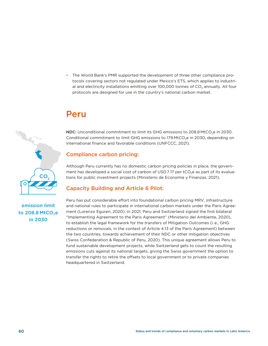• The World Bank's PMR supported the development of three other compliance protocols covering sectors not regulated under Mexico's ETS, which applies to industrial and electricity installations emitting over 100,000 tonnes of  $CO<sub>2</sub>$  annually. All four protocols are designed for use in the country's national carbon market.

# Peru

NDC: Unconditional commitment to limit its GHG emissions to 208.8 MtCO<sub>2</sub>e in 2030. Conditional commitment to limit GHG emissions to 179 MtCO<sub>2</sub>e in 2030, depending on international finance and favorable conditions (UNFCCC, 2021).

# Compliance carbon pricing:

Although Peru currently has no domestic carbon pricing policies in place, the government has developed a social cost of carbon of USD 7.17 per  $tCO<sub>2</sub>e$  as part of its evaluations for public investment projects (Ministerio de Economía y Finanzas, 2021).

# Capacity Building and Article 6 Pilot:

# emission limit to 208.8 MtCO₂e in 2030

CO.

Peru has put considerable effort into foundational carbon pricing MRV, infrastructure and national rules to participate in international carbon markets under the Paris Agreement (Lorenzo Eguren, 2020). In 2021, Peru and Switzerland signed the first bilateral "Implementing Agreement to the Paris Agreement" (Ministerio del Ambiente, 2020), to establish the legal framework for the transfers of Mitigation Outcomes (i.e., GHG reductions or removals, in the context of Article 4.13 of the Paris Agreement) between the two countries, towards achievement of their NDC or other mitigation objectives (Swiss Confederation & Republic of Peru, 2020). This unique agreement allows Peru to fund sustainable development projects, while Switzerland gets to count the resulting emissions cuts against its national targets, giving the Swiss government the option to transfer the rights to retire the offsets to local government or to private companies headquartered in Switzerland.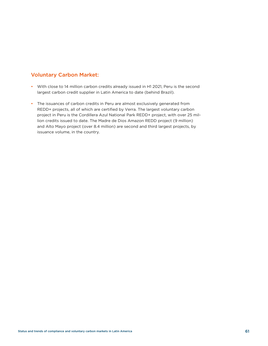# Voluntary Carbon Market:

- With close to 14 million carbon credits already issued in H1 2021, Peru is the second largest carbon credit supplier in Latin America to date (behind Brazil).
- The issuances of carbon credits in Peru are almost exclusively generated from REDD+ projects, all of which are certified by Verra. The largest voluntary carbon project in Peru is the Cordillera Azul National Park REDD+ project, with over 25 million credits issued to date. The Madre de Dios Amazon REDD project (9 million) and Alto Mayo project (over 8.4 million) are second and third largest projects, by issuance volume, in the country.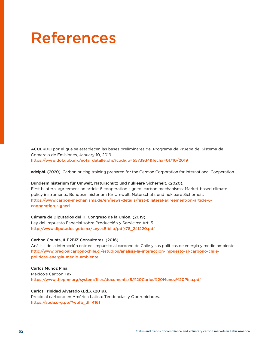# References

ACUERDO por el que se establecen las bases preliminares del Programa de Prueba del Sistema de Comercio de Emisiones, January 10, 2019. [https://www.dof.gob.mx/nota\\_detalle.php?codigo=5573934&fecha=01/10/2019](https://www.dof.gob.mx/nota_detalle.php?codigo=5573934&fecha=01/10/2019
)

adelphi. (2020). Carbon pricing training prepared for the German Corporation for International Cooperation.

#### Bundesministerium für Umwelt, Naturschutz und nukleare Sicherheit. (2020).

First bilateral agreement on article 6 cooperation signed: carbon mechanisms: Market-based climate policy instruments. Bundesministerium für Umwelt, Naturschutz und nukleare Sicherheit. [https://www.carbon-mechanisms.de/en/news-details/first-bilateral-agreement-on-article-6](https://www.carbon-mechanisms.de/en/news-details/first-bilateral-agreement-on-article-6-cooperation-signed) [cooperation-signed](https://www.carbon-mechanisms.de/en/news-details/first-bilateral-agreement-on-article-6-cooperation-signed)

#### Cámara de Diputados del H. Congreso de la Unión. (2019).

Ley del Impuesto Especial sobre Producción y Servicios: Art. 5. http://www.diputados.gob.mx/LeyesBiblio/pdf/78\_241220.pdf

#### Carbon Counts, & E2BIZ Consultores. (2016).

Análisis de la interacción entr eel impuesto al carbono de Chile y sus políticas de energia y medio ambiente. [http://www.precioalcarbonochile.cl/estudios/analisis-la-interaccion-impuesto-al-carbono-chile](http://www.precioalcarbonochile.cl/estudios/analisis-la-interaccion-impuesto-al-carbono-chile-politicas-energia-medio-ambiente)[politicas-energia-medio-ambiente](http://www.precioalcarbonochile.cl/estudios/analisis-la-interaccion-impuesto-al-carbono-chile-politicas-energia-medio-ambiente)

#### Carlos Muñoz Piña.

Mexico's Carbon Tax. [https://www.thepmr.org/system/files/documents/5.%20Carlos%20Munoz%20Pina.pdf](https://www.thepmr.org/system/files/documents/5.%20Carlos%20Munoz%20Pina.pdf
)

#### Carlos Trinidad Alvarado (Ed.). (2019).

Precio al carbono en América Latina: Tendencias y Oporunidades. [https://spda.org.pe/?wpfb\\_dl=4161](https://spda.org.pe/?wpfb_dl=4161 
)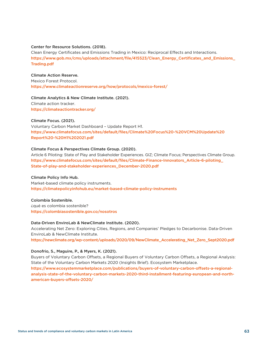#### Center for Resource Solutions. (2018).

Clean Energy Certificates and Emissions Trading in Mexico: Reciprocal Effects and Interactions. [https://www.gob.mx/cms/uploads/attachment/file/415523/Clean\\_Energy\\_Certificates\\_and\\_Emissions\\_](https://www.gob.mx/cms/uploads/attachment/file/415523/Clean_Energy_Certificates_and_Emissions_Trading.pdf) [Trading.pdf](https://www.gob.mx/cms/uploads/attachment/file/415523/Clean_Energy_Certificates_and_Emissions_Trading.pdf) 

#### Climate Action Reserve.

Mexico Forest Protocol. <https://www.climateactionreserve.org/how/protocols/mexico-forest/>

#### Climate Analytics & New Climate Institute. (2021).

Climate action tracker. [https://climateactiontracker.org/](https://climateactiontracker.org/
)

#### Climate Focus. (2021).

Voluntary Carbon Market Dashboard – Update Report H1. [https://www.climatefocus.com/sites/default/files/Climate%20Focus%20-%20VCM%20Update%20](https://www.climatefocus.com/sites/default/files/Climate%20Focus%20-%20VCM%20Update%20Report%20-%20H1%202021.pdf) [Report%20-%20H1%202021.pdf](https://www.climatefocus.com/sites/default/files/Climate%20Focus%20-%20VCM%20Update%20Report%20-%20H1%202021.pdf)

#### Climate Focus & Perspectives Climate Group. (2020).

Article 6 Piloting: State of Play and Stakeholder Experiences. GIZ; Climate Focus; Perspectives Climate Group. [https://www.climatefocus.com/sites/default/files/Climate-Finance-Innovators\\_Article-6-piloting\\_](https://www.climatefocus.com/sites/default/files/Climate-Finance-Innovators_Article-6-piloting_State-of-play-and-stakeholder-experiences_December-2020.pdf) [State-of-play-and-stakeholder-experiences\\_December-2020.pdf](https://www.climatefocus.com/sites/default/files/Climate-Finance-Innovators_Article-6-piloting_State-of-play-and-stakeholder-experiences_December-2020.pdf)

#### Climate Policy Info Hub.

Market-based climate policy instruments. [https://climatepolicyinfohub.eu/market-based-climate-policy-instruments](https://climatepolicyinfohub.eu/market-based-climate-policy-instruments
)

#### Colombia Sostenible.

¿qué es colombia sostenible? [https://colombiasostenible.gov.co/nosotros](https://colombiasostenible.gov.co/nosotros
)

#### Data-Driven EnviroLab & NewClimate Institute. (2020).

Accelerating Net Zero: Exploring Cities, Regions, and Companies' Pledges to Decarbonise. Data-Driven EnviroLab & NewClimate Institute.

[https://newclimate.org/wp-content/uploads/2020/09/NewClimate\\_Accelerating\\_Net\\_Zero\\_Sept2020.pdf](https://newclimate.org/wp-content/uploads/2020/09/NewClimate_Accelerating_Net_Zero_Sept2020.pdf 
) 

#### Donofrio, S., Maguire, P., & Myers, K. (2021).

Buyers of Voluntary Carbon Offsets, a Regional Buyers of Voluntary Carbon Offsets, a Regional Analysis: State of the Voluntary Carbon Markets 2020 (Insights Brief). Ecosystem Marketplace. [https://www.ecosystemmarketplace.com/publications/buyers-of-voluntary-carbon-offsets-a-regional](https://www.ecosystemmarketplace.com/publications/buyers-of-voluntary-carbon-offsets-a-regional-analysis-state-of-the-voluntary-carbon-markets-2020-third-installment-featuring-european-and-north-american-buyers-offsets-2020/)[analysis-state-of-the-voluntary-carbon-markets-2020-third-installment-featuring-european-and-north](https://www.ecosystemmarketplace.com/publications/buyers-of-voluntary-carbon-offsets-a-regional-analysis-state-of-the-voluntary-carbon-markets-2020-third-installment-featuring-european-and-north-american-buyers-offsets-2020/)[american-buyers-offsets-2020/](https://www.ecosystemmarketplace.com/publications/buyers-of-voluntary-carbon-offsets-a-regional-analysis-state-of-the-voluntary-carbon-markets-2020-third-installment-featuring-european-and-north-american-buyers-offsets-2020/)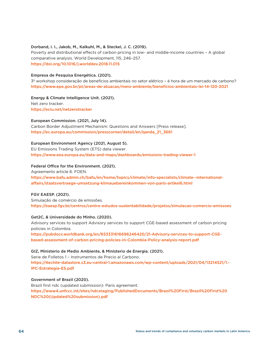#### Dorband, I. I., Jakob, M., Kalkuhl, M., & Steckel, J. C. (2019).

Poverty and distributional effects of carbon pricing in low- and middle-income countries – A global comparative analysis. World Development, 115, 246–257. [https://doi.org/10.1016/j.worlddev.2018.11.015](https://doi.org/10.1016/j.worlddev.2018.11.015
)

#### Empresa de Pesquisa Energética. (2021).

3º workshop consideração de benefícios ambientais no setor elétrico – é hora de um mercado de carbono? [https://www.epe.gov.br/pt/areas-de-atuacao/meio-ambiente/beneficios-ambientais-lei-14-120-2021](https://www.epe.gov.br/pt/areas-de-atuacao/meio-ambiente/beneficios-ambientais-lei-14-120-2021
)

Energy & Climate Intelligence Unit. (2021). Net zero tracker. <https://eciu.net/netzerotracker>

#### European Commission. (2021, July 14).

Carbon Border Adjustment Mechanism: Questions and Answers [Press release]. [https://ec.europa.eu/commission/presscorner/detail/en/qanda\\_21\\_3661](https://ec.europa.eu/commission/presscorner/detail/en/qanda_21_3661
)

#### European Environment Agency (2021, August 5).

EU Emissions Trading System (ETS) data viewer. [https://www.eea.europa.eu/data-and-maps/dashboards/emissions-trading-viewer-1](https://www.eea.europa.eu/data-and-maps/dashboards/emissions-trading-viewer-1
)

#### Federal Office for the Environment. (2021).

Agreements article 6. FOEN.

[https://www.bafu.admin.ch/bafu/en/home/topics/climate/info-specialists/climate--international](https://www.bafu.admin.ch/bafu/en/home/topics/climate/info-specialists/climate--international-affairs/staatsvertraege-umsetzung-klimauebereinkommen-von-paris-artikel6.html
)[affairs/staatsvertraege-umsetzung-klimauebereinkommen-von-paris-artikel6.html](https://www.bafu.admin.ch/bafu/en/home/topics/climate/info-specialists/climate--international-affairs/staatsvertraege-umsetzung-klimauebereinkommen-von-paris-artikel6.html
)

#### FGV EAESP. (2021).

Simulação de comércio de emissões. [https://eaesp.fgv.br/centros/centro-estudos-sustentabilidade/projetos/simulacao-comercio-emissoes](https://eaesp.fgv.br/centros/centro-estudos-sustentabilidade/projetos/simulacao-comercio-emissoes
)

#### Get2C, & Universidade do Minho. (2020).

Advisory services to support Advisory services to support CGE-based assessment of carbon pricing policies in Colombia.

[https://pubdocs.worldbank.org/en/653331616696246420/21-Advisory-services-to-support-CGE](https://pubdocs.worldbank.org/en/653331616696246420/21-Advisory-services-to-support-CGE-based-assessment-of-carbon-pricing-policies-in-Colombia-Policy-analysis-report.pdf)[based-assessment-of-carbon-pricing-policies-in-Colombia-Policy-analysis-report.pdf](https://pubdocs.worldbank.org/en/653331616696246420/21-Advisory-services-to-support-CGE-based-assessment-of-carbon-pricing-policies-in-Colombia-Policy-analysis-report.pdf) 

#### GIZ, Ministerio de Medio Ambiente, & Ministerio de Energia. (2021).

Serie de Folletos 1 – Instrumentos de Precio al Carbono. [https://4echile-datastore.s3.eu-central-1.amazonaws.com/wp-content/uploads/2021/04/13214521/1.-](https://4echile-datastore.s3.eu-central-1.amazonaws.com/wp-content/uploads/2021/04/13214521/1.-IPC-Estrategia-ES.pdf) [IPC-Estrategia-ES.pdf](https://4echile-datastore.s3.eu-central-1.amazonaws.com/wp-content/uploads/2021/04/13214521/1.-IPC-Estrategia-ES.pdf)

#### Government of Brazil (2020).

Brazil first ndc (updated submission): Paris agreement. [https://www4.unfccc.int/sites/ndcstaging/PublishedDocuments/Brazil%20First/Brazil%20First%20](https://www4.unfccc.int/sites/ndcstaging/PublishedDocuments/Brazil%20First/Brazil%20First%20NDC%20(Updated%20submission).pdf) [NDC%20\(Updated%20submission\).pdf](https://www4.unfccc.int/sites/ndcstaging/PublishedDocuments/Brazil%20First/Brazil%20First%20NDC%20(Updated%20submission).pdf)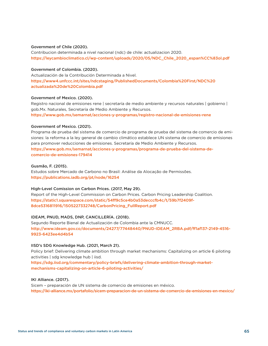#### Government of Chile (2020).

Contribucion determinada a nivel nacional (ndc) de chile: actualizacion 2020. [https://leycambioclimatico.cl/wp-content/uploads/2020/05/NDC\\_Chile\\_2020\\_espan%CC%83ol.pdf](https://leycambioclimatico.cl/wp-content/uploads/2020/05/NDC_Chile_2020_espan%CC%83ol.pdf
)

#### Government of Colombia. (2020).

Actualización de la Contribución Determinada a Nivel. [https://www4.unfccc.int/sites/ndcstaging/PublishedDocuments/Colombia%20First/NDC%20](https://www4.unfccc.int/sites/ndcstaging/PublishedDocuments/Colombia%20First/NDC%20actualizada%20de%20Colombia.pdf) [actualizada%20de%20Colombia.pdf](https://www4.unfccc.int/sites/ndcstaging/PublishedDocuments/Colombia%20First/NDC%20actualizada%20de%20Colombia.pdf)

#### Government of Mexico. (2020).

Registro nacional de emisiones rene | secretaría de medio ambiente y recursos naturales | gobierno | gob.Mx. Naturales, Secretaría de Medio Ambiente y Recursos. [https://www.gob.mx/semarnat/acciones-y-programas/registro-nacional-de-emisiones-rene](https://www.gob.mx/semarnat/acciones-y-programas/registro-nacional-de-emisiones-rene
)

#### Government of Mexico. (2021).

Programa de prueba del sistema de comercio de programa de prueba del sistema de comercio de emisiones: la reforma a la ley general de cambio climático establece UN sistema de comercio de emisiones para promover reducciones de emisiones. Secretaría de Medio Ambiente y Recursos. [https://www.gob.mx/semarnat/acciones-y-programas/programa-de-prueba-del-sistema-de](https://www.gob.mx/semarnat/acciones-y-programas/programa-de-prueba-del-sistema-de-comercio-de-emisiones-179414)[comercio-de-emisiones-179414](https://www.gob.mx/semarnat/acciones-y-programas/programa-de-prueba-del-sistema-de-comercio-de-emisiones-179414)

#### Gusmão, F. (2015).

Estudos sobre Mercado de Carbono no Brasil: Análise da Alocação de Permissões. [https://publications.iadb.org/pt/node/16254](https://publications.iadb.org/pt/node/16254
)

#### High-Level Comission on Carbon Prices. (2017, May 29).

Report of the High-Level Commission on Carbon Prices. Carbon Pricing Leadership Coalition. [https://static1.squarespace.com/static/54ff9c5ce4b0a53decccfb4c/t/59b7f2409f-](https://static1.squarespace.com/static/54ff9c5ce4b0a53decccfb4c/t/59b7f2409f8dce5316811916/1505227332748/CarbonPricing_FullReport.pdf)[8dce5316811916/1505227332748/CarbonPricing\\_FullReport.pdf](https://static1.squarespace.com/static/54ff9c5ce4b0a53decccfb4c/t/59b7f2409f8dce5316811916/1505227332748/CarbonPricing_FullReport.pdf)

#### IDEAM, PNUD, MADS, DNP, CANCILLERÍA. (2018).

Segundo Reporte Bienal de Actualización de Colombia ante la CMNUCC. [http://www.ideam.gov.co/documents/24277/77448440/PNUD-IDEAM\\_2RBA.pdf/ff1af137-2149-4516-](http://www.ideam.gov.co/documents/24277/77448440/PNUD-IDEAM_2RBA.pdf/ff1af137-2149-4516-9923-6423ee4d4b54) [9923-6423ee4d4b54](http://www.ideam.gov.co/documents/24277/77448440/PNUD-IDEAM_2RBA.pdf/ff1af137-2149-4516-9923-6423ee4d4b54)

#### IISD's SDG Knowledge Hub. (2021, March 21).

Policy brief: Delivering climate ambition through market mechanisms: Capitalizing on article 6 piloting activities | sdg knowledge hub | iisd.

[https://sdg.iisd.org/commentary/policy-briefs/delivering-climate-ambition-through-market](https://sdg.iisd.org/commentary/policy-briefs/delivering-climate-ambition-through-market-mechanisms-capitalizing-on-article-6-piloting-activities/)[mechanisms-capitalizing-on-article-6-piloting-activities/](https://sdg.iisd.org/commentary/policy-briefs/delivering-climate-ambition-through-market-mechanisms-capitalizing-on-article-6-piloting-activities/)

#### IKI Alliance. (2017).

Sicem – preparación de UN sistema de comercio de emisiones en méxico. [https://iki-alliance.mx/portafolio/sicem-preparacion-de-un-sistema-de-comercio-de-emisiones-en-mexico/](https://iki-alliance.mx/portafolio/sicem-preparacion-de-un-sistema-de-comercio-de-emisiones-en-mexico/
)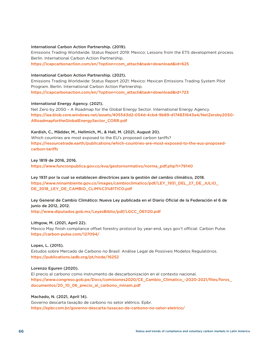#### International Carbon Action Partnership. (2019).

Emissions Trading Worldwide: Status Report 2019: Mexico: Lessons from the ETS development process. Berlin. International Carbon Action Partnership. [https://icapcarbonaction.com/en/?option=com\\_attach&task=download&id=625](https://icapcarbonaction.com/en/?option=com_attach&task=download&id=625 
) 

#### International Carbon Action Partnership. (2021).

Emissions Trading Worldwide: Status Report 2021: Mexico: Mexican Emissions Trading System Pilot Program. Berlin. International Carbon Action Partnership. [https://icapcarbonaction.com/en/?option=com\\_attach&task=download&id=723](https://icapcarbonaction.com/en/?option=com_attach&task=download&id=723 
) 

#### International Energy Agency. (2021).

Net Zero by 2050 – A Roadmap for the Global Energy Sector. International Energy Agency. [https://iea.blob.core.windows.net/assets/405543d2-054d-4cbd-9b89-d174831643a4/NetZeroby2050-](https://iea.blob.core.windows.net/assets/405543d2-054d-4cbd-9b89-d174831643a4/NetZeroby2050-ARoadmapfortheGlobalEnergySector_CORR.pdf) [ARoadmapfortheGlobalEnergySector\\_CORR.pdf](https://iea.blob.core.windows.net/assets/405543d2-054d-4cbd-9b89-d174831643a4/NetZeroby2050-ARoadmapfortheGlobalEnergySector_CORR.pdf) 

#### Kardish, C., Mädder, M., Hellmich, M., & Hall, M. (2021, August 20).

Which countries are most exposed to the EU's proposed carbon tariffs? [https://resourcetrade.earth/publications/which-countries-are-most-exposed-to-the-eus-proposed](https://resourcetrade.earth/publications/which-countries-are-most-exposed-to-the-eus-proposed-carbon-tariffs)[carbon-tariffs](https://resourcetrade.earth/publications/which-countries-are-most-exposed-to-the-eus-proposed-carbon-tariffs)

Ley 1819 de 2016, 2016. [https://www.funcionpublica.gov.co/eva/gestornormativo/norma\\_pdf.php?i=79140](https://www.funcionpublica.gov.co/eva/gestornormativo/norma_pdf.php?i=79140)

Ley 1931 por la cual se establecen directrices para la gestión del cambio climático, 2018. [https://www.minambiente.gov.co/images/cambioclimatico/pdf/LEY\\_1931\\_DEL\\_27\\_DE\\_JULIO\\_](https://www.minambiente.gov.co/images/cambioclimatico/pdf/LEY_1931_DEL_27_DE_JULIO_DE_2018_LEY_DE_CAMBIO_CLIM%C3%81TICO.pdf) [DE\\_2018\\_LEY\\_DE\\_CAMBIO\\_CLIM%C3%81TICO.pdf](https://www.minambiente.gov.co/images/cambioclimatico/pdf/LEY_1931_DEL_27_DE_JULIO_DE_2018_LEY_DE_CAMBIO_CLIM%C3%81TICO.pdf)

Ley General de Cambio Climático: Nueva Ley publicada en el Diario Oficial de la Federación el 6 de junio de 2012, 2012.

[http://www.diputados.gob.mx/LeyesBiblio/pdf/LGCC\\_061120.pdf](http://www.diputados.gob.mx/LeyesBiblio/pdf/LGCC_061120.pdf
)

#### Lithgow, M. (2021, April 22).

Mexico May finish compliance offset forestry protocol by year-end, says gov't official. Carbon Pulse. [https://carbon-pulse.com/127094/](https://carbon-pulse.com/127094/
)

#### Lopes, L. (2015).

Estudos sobre Mercado de Carbono no Brasil: Análise Legal de Possíveis Modelos Regulatórios. [https://publications.iadb.org/pt/node/16252](https://publications.iadb.org/pt/node/16252
)

#### Lorenzo Eguren (2020).

El precio al carbono como instrumento de descarbonización en el contexto nacional. [https://www.congreso.gob.pe/Docs/comisiones2020/CE\\_Cambio\\_Climatico\\_-2020-2021/files/foros\\_](https://www.congreso.gob.pe/Docs/comisiones2020/CE_Cambio_Climatico_-2020-2021/files/foros_documentos/20_10_06_precio_al_carbono_minam.pdf) [documentos/20\\_10\\_06\\_precio\\_al\\_carbono\\_minam.pdf](https://www.congreso.gob.pe/Docs/comisiones2020/CE_Cambio_Climatico_-2020-2021/files/foros_documentos/20_10_06_precio_al_carbono_minam.pdf)

#### Machado, N. (2021, April 14).

Governo descarta taxação de carbono no setor elétrico. Epbr. [https://epbr.com.br/governo-descarta-taxacao-de-carbono-no-setor-eletrico/](https://epbr.com.br/governo-descarta-taxacao-de-carbono-no-setor-eletrico/
)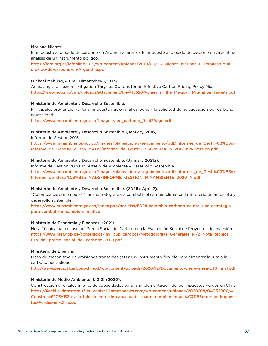#### Mariana Micozzi.

El impuesto al dióxido de carbono en Argentina: análisis El impuesto al dióxido de carbono en Argentina: análisis de un instrumento político.

[https://farn.org.ar/iafonline2019/wp-content/uploads/2019/06/1.3\\_Micozzi-Mariana\\_El-impuestuo-al](https://farn.org.ar/iafonline2019/wp-content/uploads/2019/06/1.3_Micozzi-Mariana_El-impuestuo-al-dioxido-de-carbono-en-Argentina.pdf)[dioxido-de-carbono-en-Argentina.pdf](https://farn.org.ar/iafonline2019/wp-content/uploads/2019/06/1.3_Micozzi-Mariana_El-impuestuo-al-dioxido-de-carbono-en-Argentina.pdf) 

#### Michael Mehling, & Emil Dimantchev. (2017).

Achieving the Mexican Mitigation Targets: Options for an Effective Carbon Pricing Policy Mix. [https://www.gob.mx/cms/uploads/attachment/file/415520/Achieving\\_the\\_Mexican\\_Mitigation\\_Targets.pdf](https://www.gob.mx/cms/uploads/attachment/file/415520/Achieving_the_Mexican_Mitigation_Targets.pdf 
) 

#### Ministerio de Ambiente y Desarrollo Sostenible.

Principales preguntas frente al impuesto nacional al carbono y la solicitud de no causación por carbono neutralidad.

[https://www.minambiente.gov.co/images/abc\\_carbono\\_final29ago.pdf](https://www.minambiente.gov.co/images/abc_carbono_final29ago.pdf
)

#### Ministerio de Ambiente y Desarrollo Sostenible. (January, 2016).

Informe de Gestión 2015.

[https://www.minambiente.gov.co/images/planeacion-y-seguimiento/pdf/Informes\\_de\\_Gesti%C3%B3n/](https://www.minambiente.gov.co/images/planeacion-y-seguimiento/pdf/Informes_de_Gesti%C3%B3n/Informe_de_Gesti%C3%B3n_MADS/Informe_de_Gesti%C3%B3n_MADS_2015_nva_version.pdf) [Informe\\_de\\_Gesti%C3%B3n\\_MADS/Informe\\_de\\_Gesti%C3%B3n\\_MADS\\_2015\\_nva\\_version.pdf](https://www.minambiente.gov.co/images/planeacion-y-seguimiento/pdf/Informes_de_Gesti%C3%B3n/Informe_de_Gesti%C3%B3n_MADS/Informe_de_Gesti%C3%B3n_MADS_2015_nva_version.pdf)

#### Ministerio de Ambiente y Desarrollo Sostenible. (January 2021a).

Informe de Gestion 2020. Ministerio de Ambiente y Desarrollo Sostenible. [https://www.minambiente.gov.co/images/planeacion-y-seguimiento/pdf/Informes\\_de\\_Gesti%C3%B3n/](https://www.minambiente.gov.co/images/planeacion-y-seguimiento/pdf/Informes_de_Gesti%C3%B3n/Informe_de_Gesti%C3%B3n_MADS/INFORME_GESTION_MINAMBIENTE_2020_N.pdf) [Informe\\_de\\_Gesti%C3%B3n\\_MADS/INFORME\\_GESTION\\_MINAMBIENTE\\_2020\\_N.pdf](https://www.minambiente.gov.co/images/planeacion-y-seguimiento/pdf/Informes_de_Gesti%C3%B3n/Informe_de_Gesti%C3%B3n_MADS/INFORME_GESTION_MINAMBIENTE_2020_N.pdf)

#### Ministerio de Ambiente y Desarrollo Sostenible. (2021b, April 7).

"Colombia carbono neutral", una estrategia para combatir el cambio climático | ministerio de ambiente y desarrollo sostenible.

[https://www.minambiente.gov.co/index.php/noticias/5028-colombia-carbono-neutral-una-estrategia](https://www.minambiente.gov.co/index.php/noticias/5028-colombia-carbono-neutral-una-estrategia-para-combatir-el-cambio-climatico)[para-combatir-el-cambio-climatico](https://www.minambiente.gov.co/index.php/noticias/5028-colombia-carbono-neutral-una-estrategia-para-combatir-el-cambio-climatico)

#### Ministerio de Economía y Finanzas. (2021).

Nota Técnica para el uso del Precio Social del Carbono en la Evaluación Social de Proyectos de Inversión. [https://www.mef.gob.pe/contenidos/inv\\_publica/docs/Metodologias\\_Generales\\_PI/2\\_Nota\\_tecnica\\_](https://www.mef.gob.pe/contenidos/inv_publica/docs/Metodologias_Generales_PI/2_Nota_tecnica_uso_del_precio_social_del_carbono_2021.pdf) [uso\\_del\\_precio\\_social\\_del\\_carbono\\_2021.pdf](https://www.mef.gob.pe/contenidos/inv_publica/docs/Metodologias_Generales_PI/2_Nota_tecnica_uso_del_precio_social_del_carbono_2021.pdf) 

#### Ministerio de Energia.

Mesa de mecanismo de emisiones transables (ets): UN instrumento flexible para cimentar la ruta a la carbono neutralidad.

[http://www.precioalcarbonochile.cl/wp-content/uploads/2020/12/Documento-cierre-mesa-ETS\\_final.pdf](http://www.precioalcarbonochile.cl/wp-content/uploads/2020/12/Documento-cierre-mesa-ETS_final.pdf
)

#### Ministerio de Medio Ambiente, & GIZ. (2020).

Construcción y fortalecimiento de capacidades para la implementación de los impuestos verdes en Chile. [https://4echile-datastore.s3.eu-central-1.amazonaws.com/wp-content/uploads/2020/08/04052900/4.-](https://4echile-datastore.s3.eu-central-1.amazonaws.com/wp-content/uploads/2020/08/04052900/4.-Construcci%C3%B3n-y-fortalecimiento-de-capacidades-para-la-implementaci%C3%B3n-de-los-Impuestos-Verdes-en-Chile.pdf) [Construcci%C3%B3n-y-fortalecimiento-de-capacidades-para-la-implementaci%C3%B3n-de-los-Impues](https://4echile-datastore.s3.eu-central-1.amazonaws.com/wp-content/uploads/2020/08/04052900/4.-Construcci%C3%B3n-y-fortalecimiento-de-capacidades-para-la-implementaci%C3%B3n-de-los-Impuestos-Verdes-en-Chile.pdf)[tos-Verdes-en-Chile.pdf](https://4echile-datastore.s3.eu-central-1.amazonaws.com/wp-content/uploads/2020/08/04052900/4.-Construcci%C3%B3n-y-fortalecimiento-de-capacidades-para-la-implementaci%C3%B3n-de-los-Impuestos-Verdes-en-Chile.pdf)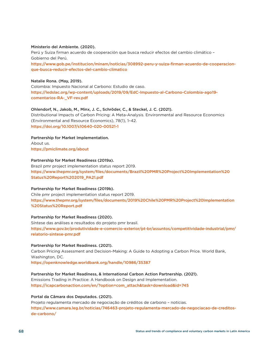#### Ministerio del Ambiente. (2020).

Perú y Suiza firman acuerdo de cooperación que busca reducir efectos del cambio climático – Gobierno del Perú. [https://www.gob.pe/institucion/minam/noticias/308992-peru-y-suiza-firman-acuerdo-de-cooperacion](https://www.gob.pe/institucion/minam/noticias/308992-peru-y-suiza-firman-acuerdo-de-cooperacion-que-busca-reducir-efectos-del-cambio-climatico)[que-busca-reducir-efectos-del-cambio-climatico](https://www.gob.pe/institucion/minam/noticias/308992-peru-y-suiza-firman-acuerdo-de-cooperacion-que-busca-reducir-efectos-del-cambio-climatico)

#### Natalie Rona. (May, 2019).

Colombia: Impuesto Nacional al Carbono: Estudio de caso. [https://ledslac.org/wp-content/uploads/2019/09/EdC-Impuesto-al-Carbono-Colombia-ago19](https://ledslac.org/wp-content/uploads/2019/09/EdC-Impuesto-al-Carbono-Colombia-ago19-
comentarios-RA-_VF-rev.pdf) [comentarios-RA-\\_VF-rev.pdf](https://ledslac.org/wp-content/uploads/2019/09/EdC-Impuesto-al-Carbono-Colombia-ago19-
comentarios-RA-_VF-rev.pdf) 

#### Ohlendorf, N., Jakob, M., Minx, J. C., Schröder, C., & Steckel, J. C. (2021).

Distributional Impacts of Carbon Pricing: A Meta-Analysis. Environmental and Resource Economics (Environmental and Resource Economics), 78(1), 1–42. <https://doi.org/10.1007/s10640-020-00521-1>

#### Partnership for Market Implementation.

About us. <https://pmiclimate.org/about>

#### Partnership for Market Readiness (2019a).

Brazil pmr project implementation status report 2019. [https://www.thepmr.org/system/files/documents/Brazil%20PMR%20Project%20Implementation%20](https://www.thepmr.org/system/files/documents/Brazil%20PMR%20Project%20Implementation%20Status%20Report%202019_PA21.pdf) [Status%20Report%202019\\_PA21.pdf](https://www.thepmr.org/system/files/documents/Brazil%20PMR%20Project%20Implementation%20Status%20Report%202019_PA21.pdf)

#### Partnership for Market Readiness (2019b).

Chile pmr project implementation status report 2019. [https://www.thepmr.org/system/files/documents/2019%20Chile%20PMR%20Project%20Implementation](https://www.thepmr.org/system/files/documents/2019%20Chile%20PMR%20Project%20Implementation
%20Status%20Report.pdf) [%20Status%20Report.pdf](https://www.thepmr.org/system/files/documents/2019%20Chile%20PMR%20Project%20Implementation
%20Status%20Report.pdf)

#### Partnership for Market Readiness (2020).

Síntese das análises e resultados do projeto pmr brasil. [https://www.gov.br/produtividade-e-comercio-exterior/pt-br/assuntos/competitividade-industrial/pmr/](https://www.gov.br/produtividade-e-comercio-exterior/pt-br/assuntos/competitividade-industrial/pmr/relatorio-sintese-pmr.pdf) [relatorio-sintese-pmr.pdf](https://www.gov.br/produtividade-e-comercio-exterior/pt-br/assuntos/competitividade-industrial/pmr/relatorio-sintese-pmr.pdf)

#### Partnership for Market Readiness. (2021).

Carbon Pricing Assessment and Decision-Making: A Guide to Adopting a Carbon Price. World Bank, Washington, DC.

<https://openknowledge.worldbank.org/handle/10986/35387>

#### Partnership for Market Readiness, & International Carbon Action Partnership. (2021).

Emissions Trading in Practice: A Handbook on Design and Implementation. [https://icapcarbonaction.com/en/?option=com\\_attach&task=download&id=745](https://icapcarbonaction.com/en/?option=com_attach&task=download&id=745)

Portal da Câmara dos Deputados. (2021).

Projeto regulamenta mercado de negociação de créditos de carbono – notícias. [https://www.camara.leg.br/noticias/746463-projeto-regulamenta-mercado-de-negociacao-de-creditos](https://www.camara.leg.br/noticias/746463-projeto-regulamenta-mercado-de-negociacao-de-creditos-de-carbono/)[de-carbono/](https://www.camara.leg.br/noticias/746463-projeto-regulamenta-mercado-de-negociacao-de-creditos-de-carbono/)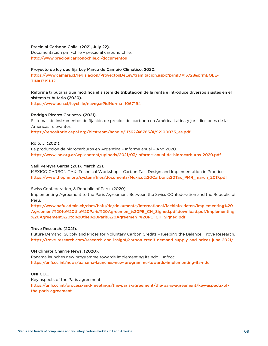#### Precio al Carbono Chile. (2021, July 22).

Documentación pmr-chile – precio al carbono chile. <http://www.precioalcarbonochile.cl/documentos>

#### Proyecto de ley que fija Ley Marco de Cambio Climático, 2020.

[https://www.camara.cl/legislacion/ProyectosDeLey/tramitacion.aspx?prmID=13728&prmBOLE-](https://www.camara.cl/legislacion/ProyectosDeLey/tramitacion.aspx?prmID=13728&prmBOLETIN=13191-12)[TIN=13191-12](https://www.camara.cl/legislacion/ProyectosDeLey/tramitacion.aspx?prmID=13728&prmBOLETIN=13191-12)

#### Reforma tributaria que modifica el sistem de tributación de la renta e introduce diversos ajustes en el sistema tributario (2020).

<https://www.bcn.cl/leychile/navegar?idNorma=1067194>

#### Rodrigo Pizarro Gariazzo. (2021).

Sistemas de instrumentos de fijación de precios del carbono en América Latina y jurisdicciones de las Américas relevantes.

[https://repositorio.cepal.org/bitstream/handle/11362/46765/4/S2100035\\_es.pdf](https://repositorio.cepal.org/bitstream/handle/11362/46765/4/S2100035_es.pdf)

#### Rojo, J. (2021).

La producción de hidrocarburos en Argentina – Informe anual – Año 2020. <https://www.iae.org.ar/wp-content/uploads/2021/03/Informe-anual-de-hidrocarburos-2020.pdf>

#### Saúl Pereyra García (2017, March 22).

MEXICO CARBON TAX. Technical Workshop – Carbon Tax: Design and Implementation in Practice. [https://www.thepmr.org/system/files/documents/Mexico%20Carbon%20Tax\\_PMR\\_march\\_2017.pdf](https://www.thepmr.org/system/files/documents/Mexico%20Carbon%20Tax_PMR_march_2017.pdf)

#### Swiss Confederation, & Republic of Peru. (2020).

Implementing Agreement to the Paris Agreement Between the Swiss COnfederation and the Republic of Peru.

[https://www.bafu.admin.ch/dam/bafu/de/dokumente/international/fachinfo-daten/Implementing%20](https://www.bafu.admin.ch/dam/bafu/de/dokumente/international/fachinfo-daten/Implementing%20Agreement%20to%20the%20Paris%20Agreemen_%20PE_CH_Signed.pdf.download.pdf/Implementing%20Agreement%20to%20the%20Paris%20Agreemen_%20PE_CH_Signed.pdf) [Agreement%20to%20the%20Paris%20Agreemen\\_%20PE\\_CH\\_Signed.pdf.download.pdf/Implementing](https://www.bafu.admin.ch/dam/bafu/de/dokumente/international/fachinfo-daten/Implementing%20Agreement%20to%20the%20Paris%20Agreemen_%20PE_CH_Signed.pdf.download.pdf/Implementing%20Agreement%20to%20the%20Paris%20Agreemen_%20PE_CH_Signed.pdf) [%20Agreement%20to%20the%20Paris%20Agreemen\\_%20PE\\_CH\\_Signed.pdf](https://www.bafu.admin.ch/dam/bafu/de/dokumente/international/fachinfo-daten/Implementing%20Agreement%20to%20the%20Paris%20Agreemen_%20PE_CH_Signed.pdf.download.pdf/Implementing%20Agreement%20to%20the%20Paris%20Agreemen_%20PE_CH_Signed.pdf) 

#### Trove Research. (2021).

Future Demand, Supply and Prices for Voluntary Carbon Credits – Keeping the Balance. Trove Research. <https://trove-research.com/research-and-insight/carbon-credit-demand-supply-and-prices-june-2021/>

#### UN Climate Change News. (2020).

Panama launches new programme towards implementing its ndc | unfccc. [https://unfccc.int/news/panama-launches-new-programme-towards-implementing-its-ndc](https://unfccc.int/news/panama-launches-new-programme-towards-implementing-its-ndc
)

#### UNFCCC.

Key aspects of the Paris agreement. [https://unfccc.int/process-and-meetings/the-paris-agreement/the-paris-agreement/key-aspects-of](https://unfccc.int/process-and-meetings/the-paris-agreement/the-paris-agreement/key-aspects-of-the-paris-agreement)[the-paris-agreement](https://unfccc.int/process-and-meetings/the-paris-agreement/the-paris-agreement/key-aspects-of-the-paris-agreement)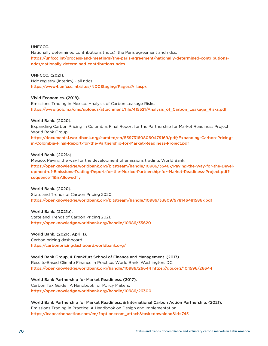#### UNFCCC.

Nationally determined contributions (ndcs): the Paris agreement and ndcs. [https://unfccc.int/process-and-meetings/the-paris-agreement/nationally-determined-contributions](https://unfccc.int/process-and-meetings/the-paris-agreement/nationally-determined-contributions-ndcs/nationally-determined-contributions-ndcs
)[ndcs/nationally-determined-contributions-ndcs](https://unfccc.int/process-and-meetings/the-paris-agreement/nationally-determined-contributions-ndcs/nationally-determined-contributions-ndcs
)

#### UNFCCC. (2021).

Ndc registry (interim) - all ndcs. [https://www4.unfccc.int/sites/NDCStaging/Pages/All.aspx](https://www4.unfccc.int/sites/NDCStaging/Pages/All.aspx
)

#### Vivid Economics. (2018).

Emissions Trading in Mexico: Analysis of Carbon Leakage Risks. [https://www.gob.mx/cms/uploads/attachment/file/415521/Analysis\\_of\\_Carbon\\_Leakage\\_Risks.pdf](https://www.gob.mx/cms/uploads/attachment/file/415521/Analysis_of_Carbon_Leakage_Risks.pdf 
) 

#### World Bank. (2020).

Expanding Carbon Pricing in Colombia: Final Report for the Partnership for Market Readiness Project. World Bank Group.

[https://documents1.worldbank.org/curated/en/559731608060479169/pdf/Expanding-Carbon-Pricing](https://documents1.worldbank.org/curated/en/559731608060479169/pdf/Expanding-Carbon-Pricing-in-Colombia-Final-Report-for-the-Partnership-for-Market-Readiness-Project.pdf)[in-Colombia-Final-Report-for-the-Partnership-for-Market-Readiness-Project.pdf](https://documents1.worldbank.org/curated/en/559731608060479169/pdf/Expanding-Carbon-Pricing-in-Colombia-Final-Report-for-the-Partnership-for-Market-Readiness-Project.pdf)

#### World Bank. (2021a).

Mexico: Paving the way for the development of emissions trading. World Bank. [https://openknowledge.worldbank.org/bitstream/handle/10986/35467/Paving-the-Way-for-the-Devel](https://openknowledge.worldbank.org/bitstream/handle/10986/35467/Paving-the-Way-for-the-Development-of-Emissions-Trading-Report-for-the-Mexico-Partnership-for-Market-Readiness-Project.pdf?sequence=1&isAllowed=y)[opment-of-Emissions-Trading-Report-for-the-Mexico-Partnership-for-Market-Readiness-Project.pdf?](https://openknowledge.worldbank.org/bitstream/handle/10986/35467/Paving-the-Way-for-the-Development-of-Emissions-Trading-Report-for-the-Mexico-Partnership-for-Market-Readiness-Project.pdf?sequence=1&isAllowed=y) [sequence=1&isAllowed=y](https://openknowledge.worldbank.org/bitstream/handle/10986/35467/Paving-the-Way-for-the-Development-of-Emissions-Trading-Report-for-the-Mexico-Partnership-for-Market-Readiness-Project.pdf?sequence=1&isAllowed=y)

#### World Bank. (2020).

State and Trends of Carbon Pricing 2020. <https://openknowledge.worldbank.org/bitstream/handle/10986/33809/9781464815867.pdf>

World Bank. (2021b). State and Trends of Carbon Pricing 2021. [https://openknowledge.worldbank.org/handle/10986/35620](https://openknowledge.worldbank.org/handle/10986/35620 
) 

#### World Bank. (2021c, April 1).

Carbon pricing dashboard. [https://carbonpricingdashboard.worldbank.org/](https://carbonpricingdashboard.worldbank.org/
)

### World Bank Group, & Frankfurt School of Finance and Management. (2017). Results-Based Climate Finance in Practice. World Bank, Washington, DC.

[https://openknowledge.worldbank.org/handle/10986/26644 https://doi.org/10.1596/26644](https://openknowledge.worldbank.org/handle/10986/26644 https://doi.org/10.1596/26644
)

#### World Bank Partnership for Market Readiness. (2017).

Carbon Tax Guide : A Handbook for Policy Makers. <https://openknowledge.worldbank.org/handle/10986/26300>

World Bank Partnership for Market Readiness, & International Carbon Action Partnership. (2021). Emissions Trading in Practice: A Handbook on Design and Implementation. [https://icapcarbonaction.com/en/?option=com\\_attach&task=download&id=745](https://icapcarbonaction.com/en/?option=com_attach&task=download&id=745)